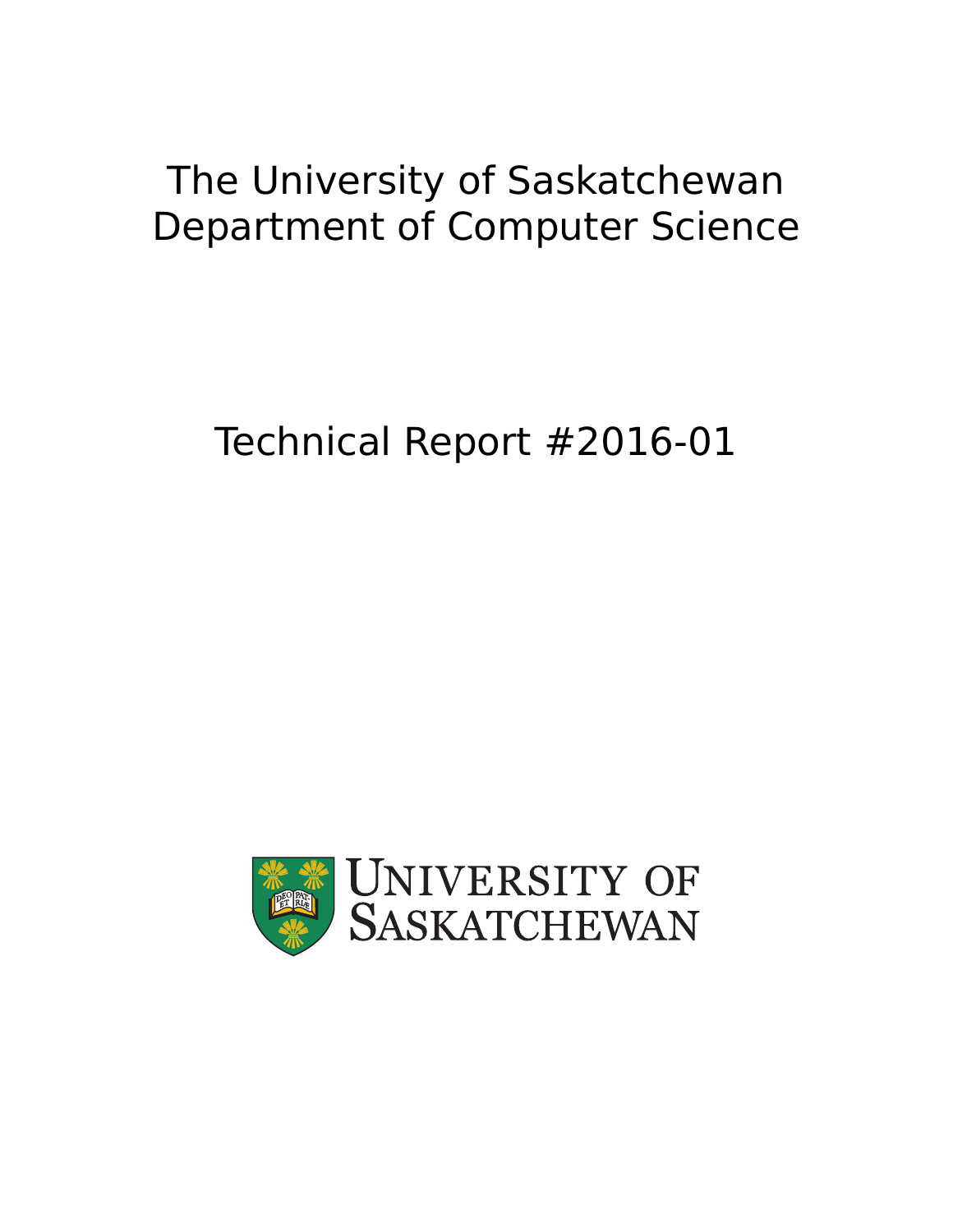## The University of Saskatchewan Department of Computer Science

# Technical Report #2016-01

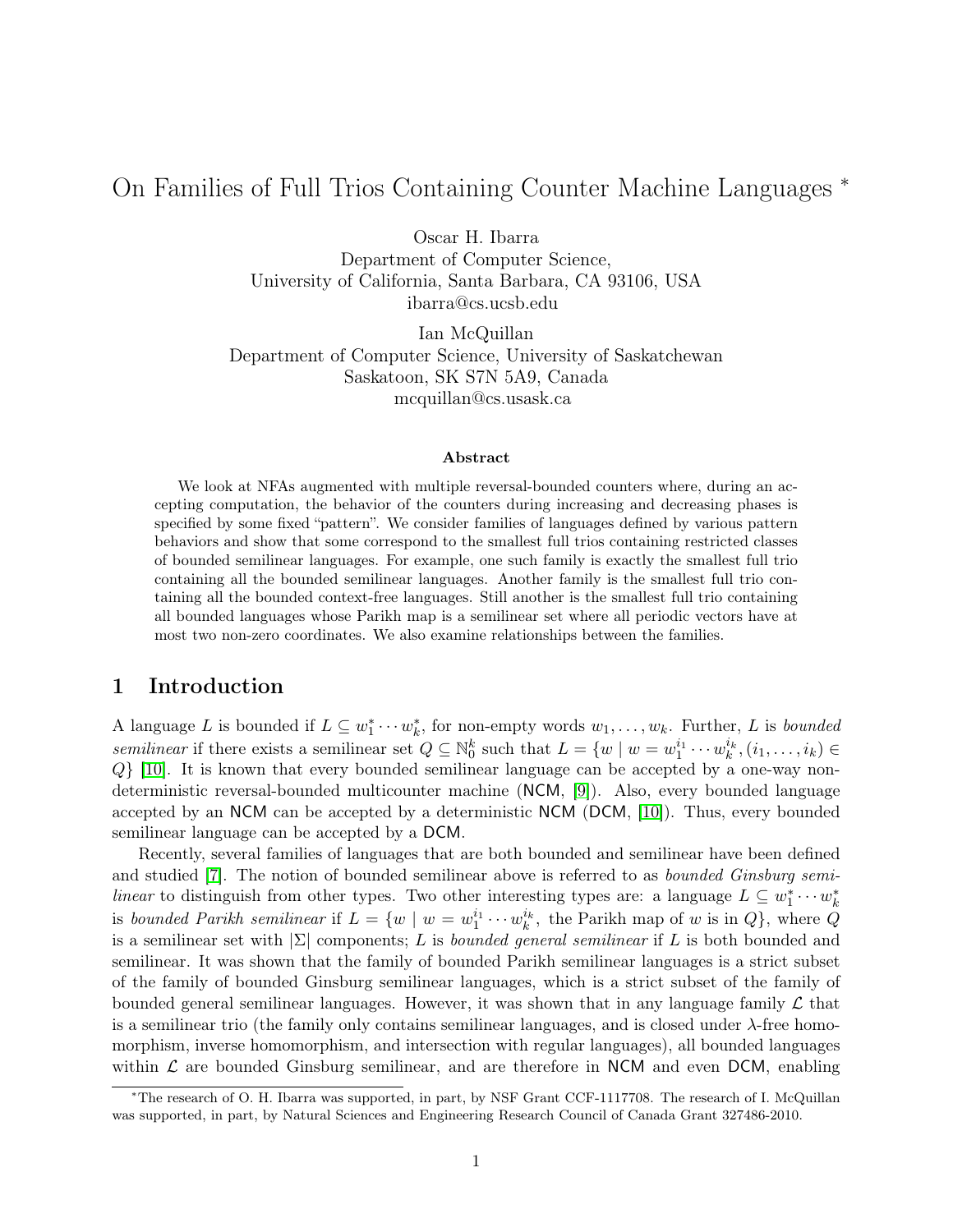## On Families of Full Trios Containing Counter Machine Languages <sup>∗</sup>

Oscar H. Ibarra

Department of Computer Science, University of California, Santa Barbara, CA 93106, USA ibarra@cs.ucsb.edu

Ian McQuillan Department of Computer Science, University of Saskatchewan Saskatoon, SK S7N 5A9, Canada mcquillan@cs.usask.ca

#### Abstract

We look at NFAs augmented with multiple reversal-bounded counters where, during an accepting computation, the behavior of the counters during increasing and decreasing phases is specified by some fixed "pattern". We consider families of languages defined by various pattern behaviors and show that some correspond to the smallest full trios containing restricted classes of bounded semilinear languages. For example, one such family is exactly the smallest full trio containing all the bounded semilinear languages. Another family is the smallest full trio containing all the bounded context-free languages. Still another is the smallest full trio containing all bounded languages whose Parikh map is a semilinear set where all periodic vectors have at most two non-zero coordinates. We also examine relationships between the families.

#### <span id="page-1-0"></span>1 Introduction

A language L is bounded if  $L \subseteq w_1^* \cdots w_k^*$ , for non-empty words  $w_1, \ldots, w_k$ . Further, L is bounded semilinear if there exists a semilinear set  $Q \subseteq \mathbb{N}_0^k$  such that  $L = \{w \mid w = w_1^{i_1} \cdots w_k^{i_k}, (i_1, \ldots, i_k) \in$ Q} [\[10\]](#page-23-0). It is known that every bounded semilinear language can be accepted by a one-way nondeterministic reversal-bounded multicounter machine (NCM, [\[9\]](#page-23-1)). Also, every bounded language accepted by an NCM can be accepted by a deterministic NCM (DCM, [\[10\]](#page-23-0)). Thus, every bounded semilinear language can be accepted by a DCM.

Recently, several families of languages that are both bounded and semilinear have been defined and studied [\[7\]](#page-23-2). The notion of bounded semilinear above is referred to as bounded Ginsburg semilinear to distinguish from other types. Two other interesting types are: a language  $L \subseteq w_1^* \cdots w_k^*$ is bounded Parikh semilinear if  $L = \{w \mid w = w_1^{i_1} \cdots w_k^{i_k}$ , the Parikh map of w is in  $Q\}$ , where  $\tilde{Q}$ is a semilinear set with  $|\Sigma|$  components; L is bounded general semilinear if L is both bounded and semilinear. It was shown that the family of bounded Parikh semilinear languages is a strict subset of the family of bounded Ginsburg semilinear languages, which is a strict subset of the family of bounded general semilinear languages. However, it was shown that in any language family  $\mathcal L$  that is a semilinear trio (the family only contains semilinear languages, and is closed under  $\lambda$ -free homomorphism, inverse homomorphism, and intersection with regular languages), all bounded languages within  $\mathcal L$  are bounded Ginsburg semilinear, and are therefore in NCM and even DCM, enabling

<sup>∗</sup>The research of O. H. Ibarra was supported, in part, by NSF Grant CCF-1117708. The research of I. McQuillan was supported, in part, by Natural Sciences and Engineering Research Council of Canada Grant 327486-2010.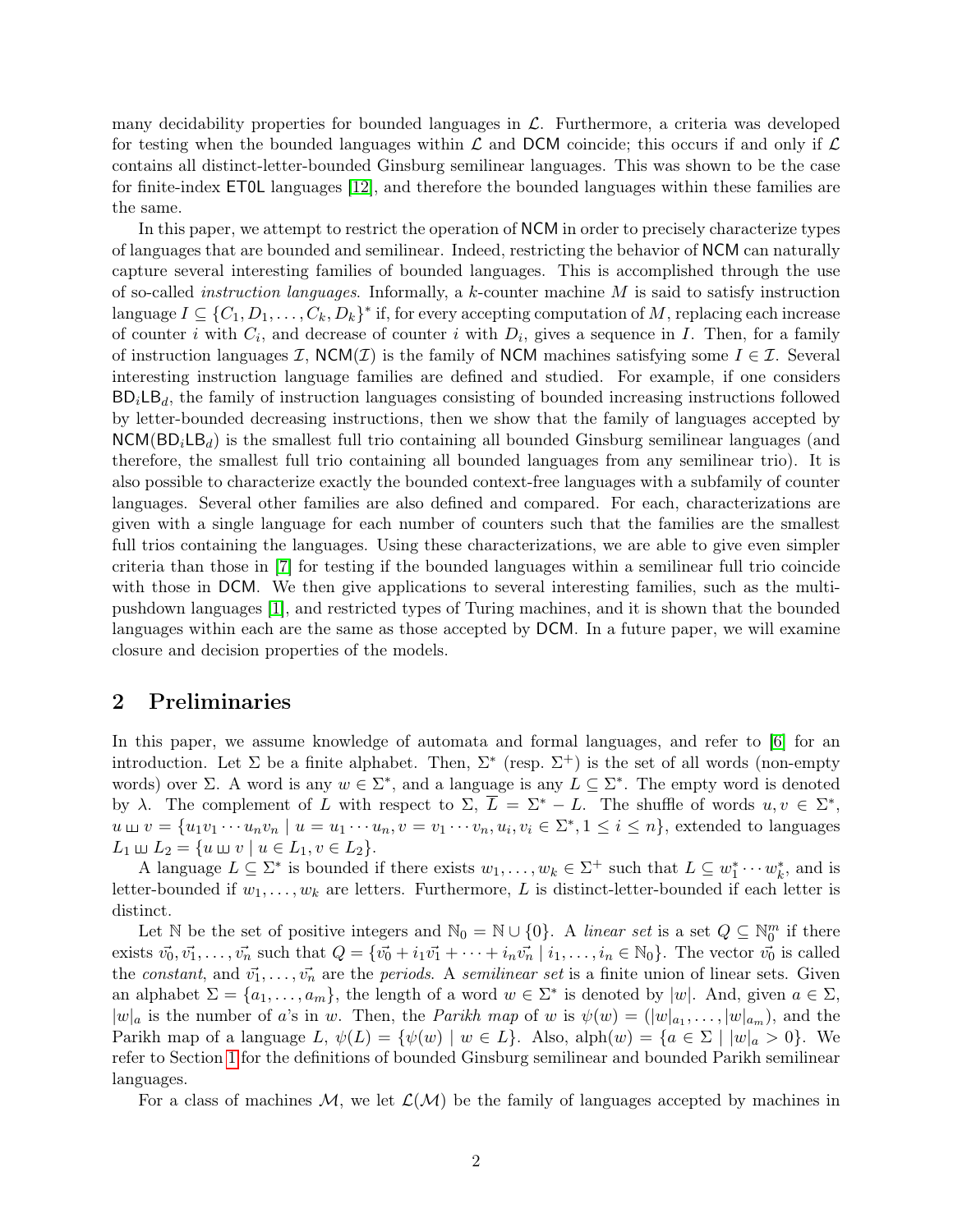many decidability properties for bounded languages in  $\mathcal{L}$ . Furthermore, a criteria was developed for testing when the bounded languages within  $\mathcal L$  and DCM coincide; this occurs if and only if  $\mathcal L$ contains all distinct-letter-bounded Ginsburg semilinear languages. This was shown to be the case for finite-index ET0L languages [\[12\]](#page-23-3), and therefore the bounded languages within these families are the same.

In this paper, we attempt to restrict the operation of NCM in order to precisely characterize types of languages that are bounded and semilinear. Indeed, restricting the behavior of NCM can naturally capture several interesting families of bounded languages. This is accomplished through the use of so-called *instruction languages*. Informally, a  $k$ -counter machine  $M$  is said to satisfy instruction language  $I \subseteq \{C_1, D_1, \ldots, C_k, D_k\}^*$  if, for every accepting computation of M, replacing each increase of counter i with  $C_i$ , and decrease of counter i with  $D_i$ , gives a sequence in I. Then, for a family of instruction languages I,  $NCM(\mathcal{I})$  is the family of NCM machines satisfying some  $I \in \mathcal{I}$ . Several interesting instruction language families are defined and studied. For example, if one considers  $BD<sub>i</sub>LB<sub>d</sub>$ , the family of instruction languages consisting of bounded increasing instructions followed by letter-bounded decreasing instructions, then we show that the family of languages accepted by  $NCM(BD_iLB_d)$  is the smallest full trio containing all bounded Ginsburg semilinear languages (and therefore, the smallest full trio containing all bounded languages from any semilinear trio). It is also possible to characterize exactly the bounded context-free languages with a subfamily of counter languages. Several other families are also defined and compared. For each, characterizations are given with a single language for each number of counters such that the families are the smallest full trios containing the languages. Using these characterizations, we are able to give even simpler criteria than those in [\[7\]](#page-23-2) for testing if the bounded languages within a semilinear full trio coincide with those in DCM. We then give applications to several interesting families, such as the multipushdown languages [\[1\]](#page-22-0), and restricted types of Turing machines, and it is shown that the bounded languages within each are the same as those accepted by DCM. In a future paper, we will examine closure and decision properties of the models.

#### 2 Preliminaries

In this paper, we assume knowledge of automata and formal languages, and refer to [\[6\]](#page-23-4) for an introduction. Let  $\Sigma$  be a finite alphabet. Then,  $\Sigma^*$  (resp.  $\Sigma^+$ ) is the set of all words (non-empty words) over  $\Sigma$ . A word is any  $w \in \Sigma^*$ , and a language is any  $L \subseteq \Sigma^*$ . The empty word is denoted by  $\lambda$ . The complement of L with respect to  $\Sigma$ ,  $\overline{L} = \Sigma^* - L$ . The shuffle of words  $u, v \in \Sigma^*$ ,  $u \sqcup v = \{u_1v_1 \cdots u_nv_n \mid u = u_1 \cdots u_n, v = v_1 \cdots v_n, u_i, v_i \in \Sigma^*, 1 \leq i \leq n\}$ , extended to languages  $L_1 \sqcup L_2 = \{u \sqcup v \mid u \in L_1, v \in L_2\}.$ 

A language  $L \subseteq \Sigma^*$  is bounded if there exists  $w_1, \ldots, w_k \in \Sigma^+$  such that  $L \subseteq w_1^* \cdots w_k^*$ , and is letter-bounded if  $w_1, \ldots, w_k$  are letters. Furthermore, L is distinct-letter-bounded if each letter is distinct.

Let N be the set of positive integers and  $\mathbb{N}_0 = \mathbb{N} \cup \{0\}$ . A linear set is a set  $Q \subseteq \mathbb{N}_0^m$  if there exists  $\vec{v_0}, \vec{v_1}, \dots, \vec{v_n}$  such that  $Q = \{\vec{v_0} + i_1\vec{v_1} + \dots + i_n\vec{v_n} \mid i_1, \dots, i_n \in \mathbb{N}_0\}$ . The vector  $\vec{v_0}$  is called the constant, and  $\vec{v_1}, \ldots, \vec{v_n}$  are the periods. A semilinear set is a finite union of linear sets. Given an alphabet  $\Sigma = \{a_1, \ldots, a_m\}$ , the length of a word  $w \in \Sigma^*$  is denoted by  $|w|$ . And, given  $a \in \Sigma$ ,  $|w|_a$  is the number of a's in w. Then, the *Parikh map* of w is  $\psi(w) = (|w|_{a_1}, \ldots, |w|_{a_m})$ , and the Parikh map of a language L,  $\psi(L) = {\psi(w) \mid w \in L}$ . Also, alph $(w) = {a \in \Sigma \mid |w|_a > 0}$ . We refer to Section [1](#page-1-0) for the definitions of bounded Ginsburg semilinear and bounded Parikh semilinear languages.

For a class of machines M, we let  $\mathcal{L}(\mathcal{M})$  be the family of languages accepted by machines in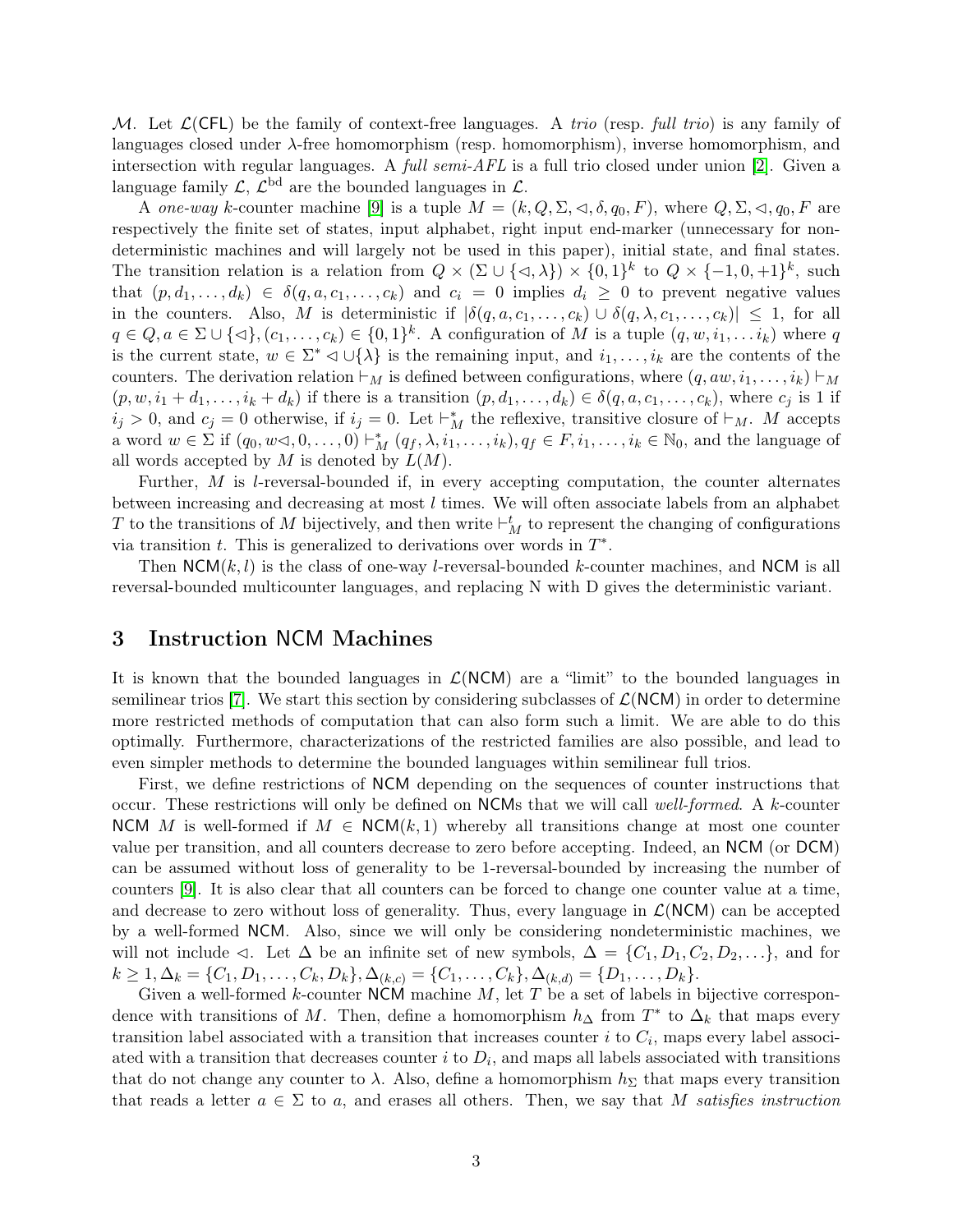M. Let  $\mathcal{L}(CFL)$  be the family of context-free languages. A trio (resp. full trio) is any family of languages closed under  $\lambda$ -free homomorphism (resp. homomorphism), inverse homomorphism, and intersection with regular languages. A *full semi-AFL* is a full trio closed under union [\[2\]](#page-22-1). Given a language family  $\mathcal{L}, \mathcal{L}^{\text{bd}}$  are the bounded languages in  $\mathcal{L}.$ 

A one-way k-counter machine [\[9\]](#page-23-1) is a tuple  $M = (k, Q, \Sigma, \triangleleft, \delta, q_0, F)$ , where  $Q, \Sigma, \triangleleft, q_0, F$  are respectively the finite set of states, input alphabet, right input end-marker (unnecessary for nondeterministic machines and will largely not be used in this paper), initial state, and final states. The transition relation is a relation from  $Q \times (\Sigma \cup \{\triangleleft, \lambda\}) \times \{0, 1\}^k$  to  $Q \times \{-1, 0, +1\}^k$ , such that  $(p, d_1, \ldots, d_k) \in \delta(q, a, c_1, \ldots, c_k)$  and  $c_i = 0$  implies  $d_i \geq 0$  to prevent negative values in the counters. Also, M is deterministic if  $|\delta(q, a, c_1, \ldots, c_k) \cup \delta(q, \lambda, c_1, \ldots, c_k)| \leq 1$ , for all  $q \in Q, a \in \Sigma \cup \{\triangleleft\}, (c_1, \ldots, c_k) \in \{0,1\}^k$ . A configuration of M is a tuple  $(q, w, i_1, \ldots i_k)$  where q is the current state,  $w \in \Sigma^* \triangleleft \cup \{\lambda\}$  is the remaining input, and  $i_1, \ldots, i_k$  are the contents of the counters. The derivation relation  $\vdash_M$  is defined between configurations, where  $(q, aw, i_1, \ldots, i_k) \vdash_M$  $(p, w, i_1 + d_1, \ldots, i_k + d_k)$  if there is a transition  $(p, d_1, \ldots, d_k) \in \delta(q, a, c_1, \ldots, c_k)$ , where  $c_j$  is 1 if  $i_j > 0$ , and  $c_j = 0$  otherwise, if  $i_j = 0$ . Let  $\vdash_M^*$  the reflexive, transitive closure of  $\vdash_M$ . M accepts a word  $w \in \Sigma$  if  $(q_0, w \triangleleft, 0, \ldots, 0) \vdash_M^* (q_f, \lambda, i_1, \ldots, i_k), q_f \in F, i_1, \ldots, i_k \in \mathbb{N}_0$ , and the language of all words accepted by  $M$  is denoted by  $L(M)$ .

Further, M is l-reversal-bounded if, in every accepting computation, the counter alternates between increasing and decreasing at most l times. We will often associate labels from an alphabet T to the transitions of M bijectively, and then write  $\vdash_M^t$  to represent the changing of configurations via transition  $t$ . This is generalized to derivations over words in  $T^*$ .

Then  $NCM(k, l)$  is the class of one-way *l*-reversal-bounded k-counter machines, and NCM is all reversal-bounded multicounter languages, and replacing N with D gives the deterministic variant.

#### 3 Instruction NCM Machines

It is known that the bounded languages in  $\mathcal{L}(NCM)$  are a "limit" to the bounded languages in semilinear trios [\[7\]](#page-23-2). We start this section by considering subclasses of  $\mathcal{L}(NCM)$  in order to determine more restricted methods of computation that can also form such a limit. We are able to do this optimally. Furthermore, characterizations of the restricted families are also possible, and lead to even simpler methods to determine the bounded languages within semilinear full trios.

First, we define restrictions of NCM depending on the sequences of counter instructions that occur. These restrictions will only be defined on NCMs that we will call well-formed. A k-counter NCM M is well-formed if  $M \in NCM(k, 1)$  whereby all transitions change at most one counter value per transition, and all counters decrease to zero before accepting. Indeed, an NCM (or DCM) can be assumed without loss of generality to be 1-reversal-bounded by increasing the number of counters [\[9\]](#page-23-1). It is also clear that all counters can be forced to change one counter value at a time, and decrease to zero without loss of generality. Thus, every language in  $\mathcal{L}(NCM)$  can be accepted by a well-formed NCM. Also, since we will only be considering nondeterministic machines, we will not include  $\triangleleft$ . Let  $\triangle$  be an infinite set of new symbols,  $\triangle = \{C_1, D_1, C_2, D_2, \ldots\}$ , and for  $k \geq 1, \Delta_k = \{C_1, D_1, \ldots, C_k, D_k\}, \Delta_{(k,c)} = \{C_1, \ldots, C_k\}, \Delta_{(k,d)} = \{D_1, \ldots, D_k\}.$ 

Given a well-formed  $k$ -counter NCM machine  $M$ , let  $T$  be a set of labels in bijective correspondence with transitions of M. Then, define a homomorphism  $h_{\Delta}$  from  $T^*$  to  $\Delta_k$  that maps every transition label associated with a transition that increases counter  $i$  to  $C_i$ , maps every label associated with a transition that decreases counter  $i$  to  $D_i$ , and maps all labels associated with transitions that do not change any counter to  $\lambda$ . Also, define a homomorphism  $h_{\Sigma}$  that maps every transition that reads a letter  $a \in \Sigma$  to a, and erases all others. Then, we say that M satisfies instruction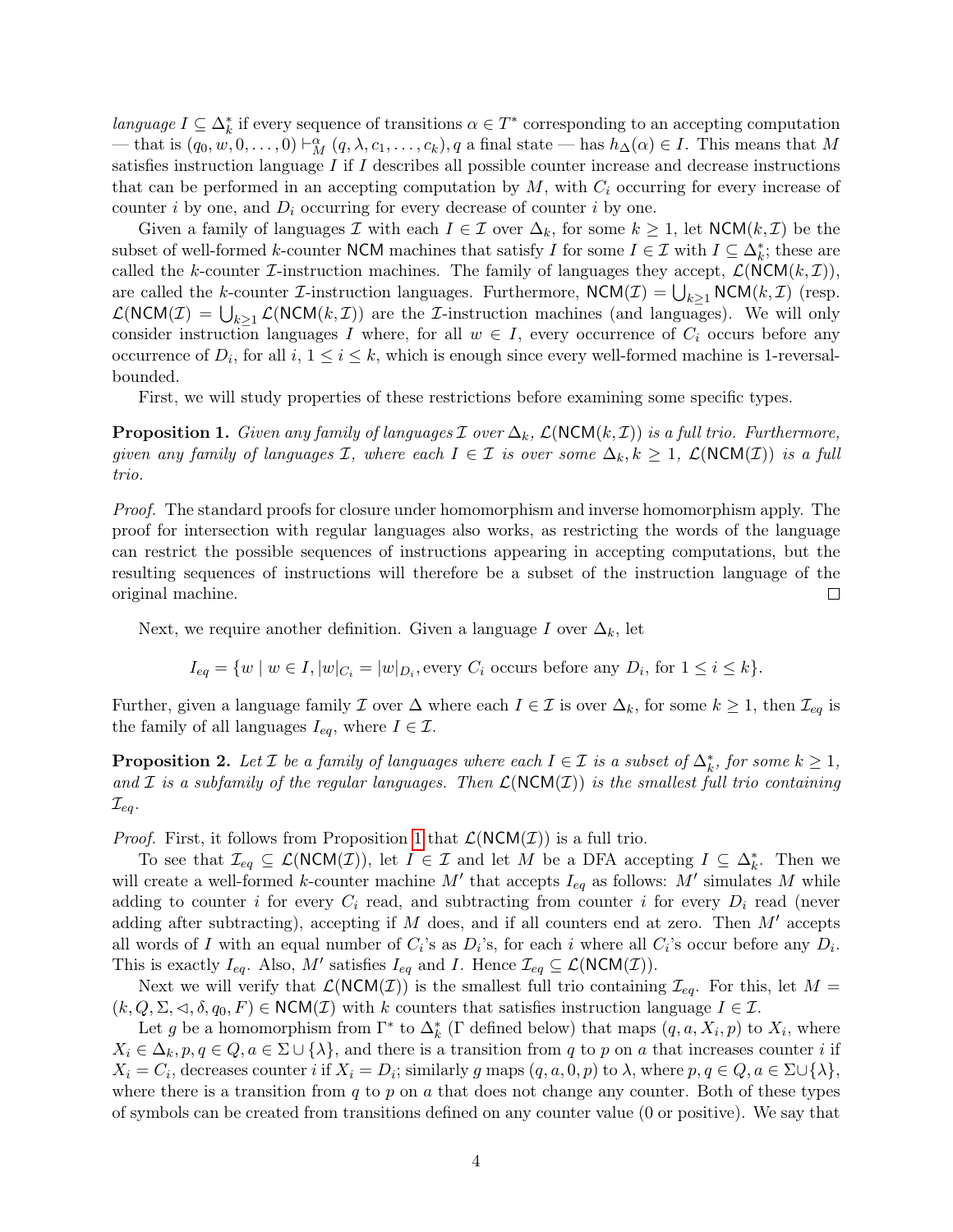language  $I \subseteq \Delta_k^*$  if every sequence of transitions  $\alpha \in T^*$  corresponding to an accepting computation — that is  $(q_0, w, 0, \ldots, 0) \vdash_M^{\alpha} (q, \lambda, c_1, \ldots, c_k), q$  a final state — has  $h_{\Delta}(\alpha) \in I$ . This means that M satisfies instruction language I if I describes all possible counter increase and decrease instructions that can be performed in an accepting computation by  $M$ , with  $C_i$  occurring for every increase of counter i by one, and  $D_i$  occurring for every decrease of counter i by one.

Given a family of languages I with each  $I \in \mathcal{I}$  over  $\Delta_k$ , for some  $k \geq 1$ , let  $NCM(k, \mathcal{I})$  be the subset of well-formed k-counter NCM machines that satisfy I for some  $I \in \mathcal{I}$  with  $I \subseteq \Delta_k^*$ ; these are called the k-counter *I*-instruction machines. The family of languages they accept,  $\mathcal{L}(NCM(k, \mathcal{I}))$ , are called the k-counter *L*-instruction languages. Furthermore,  $\mathsf{NCM}(\mathcal{I}) = \bigcup_{k \geq 1} \mathsf{NCM}(k, \mathcal{I})$  (resp.  $\mathcal{L}(\text{NCM}(\mathcal{I}) = \bigcup_{k\geq 1} \mathcal{L}(\text{NCM}(k,\mathcal{I}))$  are the *I*-instruction machines (and languages). We will only consider instruction languages I where, for all  $w \in I$ , every occurrence of  $C_i$  occurs before any occurrence of  $D_i$ , for all  $i, 1 \le i \le k$ , which is enough since every well-formed machine is 1-reversalbounded.

First, we will study properties of these restrictions before examining some specific types.

<span id="page-4-0"></span>**Proposition 1.** Given any family of languages  $\mathcal I$  over  $\Delta_k$ ,  $\mathcal L(NCM(k, \mathcal I))$  is a full trio. Furthermore, given any family of languages  $\mathcal{I}$ , where each  $I \in \mathcal{I}$  is over some  $\Delta_k, k \geq 1$ ,  $\mathcal{L}(\text{NCM}(\mathcal{I}))$  is a full trio.

Proof. The standard proofs for closure under homomorphism and inverse homomorphism apply. The proof for intersection with regular languages also works, as restricting the words of the language can restrict the possible sequences of instructions appearing in accepting computations, but the resulting sequences of instructions will therefore be a subset of the instruction language of the original machine.  $\Box$ 

Next, we require another definition. Given a language I over  $\Delta_k$ , let

 $I_{eq} = \{w \mid w \in I, |w|_{C_i} = |w|_{D_i}, \text{every } C_i \text{ occurs before any } D_i \text{, for } 1 \leq i \leq k\}.$ 

Further, given a language family  $\mathcal I$  over  $\Delta$  where each  $I \in \mathcal I$  is over  $\Delta_k$ , for some  $k \geq 1$ , then  $\mathcal I_{eq}$  is the family of all languages  $I_{eq}$ , where  $I \in \mathcal{I}$ .

<span id="page-4-1"></span>**Proposition 2.** Let  $\mathcal{I}$  be a family of languages where each  $I \in \mathcal{I}$  is a subset of  $\Delta_k^*$ , for some  $k \geq 1$ , and  $\mathcal I$  is a subfamily of the regular languages. Then  $\mathcal L(NCM(\mathcal I))$  is the smallest full trio containing  $\mathcal{I}_{eq}$ .

*Proof.* First, it follows from Proposition [1](#page-4-0) that  $\mathcal{L}(NCM(\mathcal{I}))$  is a full trio.

To see that  $\mathcal{I}_{eq} \subseteq \mathcal{L}(NCM(\mathcal{I}))$ , let  $I \in \mathcal{I}$  and let M be a DFA accepting  $I \subseteq \Delta_k^*$ . Then we will create a well-formed k-counter machine M' that accepts  $I_{eq}$  as follows: M' simulates M while adding to counter i for every  $C_i$  read, and subtracting from counter i for every  $D_i$  read (never adding after subtracting), accepting if  $M$  does, and if all counters end at zero. Then  $M'$  accepts all words of I with an equal number of  $C_i$ 's as  $D_i$ 's, for each i where all  $C_i$ 's occur before any  $D_i$ . This is exactly  $I_{eq}$ . Also, M' satisfies  $I_{eq}$  and I. Hence  $\mathcal{I}_{eq} \subseteq \mathcal{L}(\text{NCM}(\mathcal{I}))$ .

Next we will verify that  $\mathcal{L}(NCM(\mathcal{I}))$  is the smallest full trio containing  $\mathcal{I}_{eq}$ . For this, let  $M =$  $(k, Q, \Sigma, \triangleleft, \delta, q_0, F) \in \text{NCM}(\mathcal{I})$  with k counters that satisfies instruction language  $I \in \mathcal{I}$ .

Let g be a homomorphism from  $\Gamma^*$  to  $\Delta_k^*$  ( $\Gamma$  defined below) that maps  $(q, a, X_i, p)$  to  $X_i$ , where  $X_i \in \Delta_k$ ,  $p, q \in Q, a \in \Sigma \cup \{\lambda\}$ , and there is a transition from q to p on a that increases counter i if  $X_i = C_i$ , decreases counter i if  $X_i = D_i$ ; similarly g maps  $(q, a, 0, p)$  to  $\lambda$ , where  $p, q \in Q, a \in \Sigma \cup \{\lambda\},$ where there is a transition from  $q$  to  $p$  on  $a$  that does not change any counter. Both of these types of symbols can be created from transitions defined on any counter value (0 or positive). We say that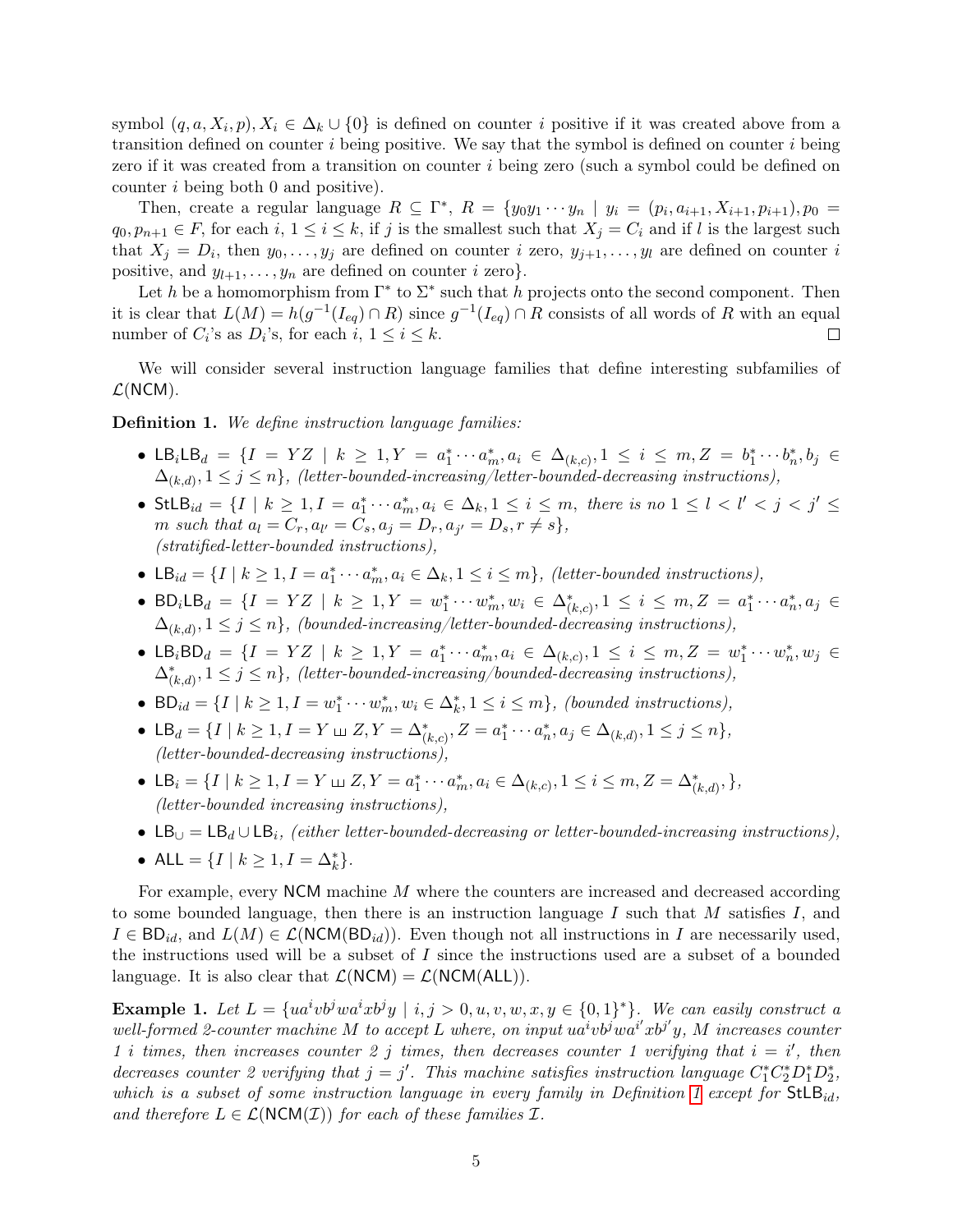symbol  $(q, a, X_i, p), X_i \in \Delta_k \cup \{0\}$  is defined on counter i positive if it was created above from a transition defined on counter  $i$  being positive. We say that the symbol is defined on counter  $i$  being zero if it was created from a transition on counter i being zero (such a symbol could be defined on counter i being both 0 and positive).

Then, create a regular language  $R \subseteq \Gamma^*$ ,  $R = \{y_0y_1 \cdots y_n \mid y_i = (p_i, a_{i+1}, X_{i+1}, p_{i+1}), p_0 =$  $q_0, p_{n+1} \in F$ , for each  $i, 1 \le i \le k$ , if j is the smallest such that  $X_j = C_i$  and if l is the largest such that  $X_j = D_i$ , then  $y_0, \ldots, y_j$  are defined on counter i zero,  $y_{j+1}, \ldots, y_l$  are defined on counter i positive, and  $y_{l+1}, \ldots, y_n$  are defined on counter i zero.

Let h be a homomorphism from  $\Gamma^*$  to  $\Sigma^*$  such that h projects onto the second component. Then it is clear that  $L(M) = h(g^{-1}(I_{eq}) \cap R)$  since  $g^{-1}(I_{eq}) \cap R$  consists of all words of R with an equal number of  $C_i$ 's as  $D_i$ 's, for each  $i, 1 \le i \le k$ .  $\Box$ 

We will consider several instruction language families that define interesting subfamilies of  $\mathcal{L}(\text{NCM})$ .

<span id="page-5-0"></span>Definition 1. We define instruction language families:

- LB<sub>i</sub>LB<sub>d</sub> = { $I = YZ$  |  $k \ge 1, Y = a_1^* \cdots a_m^*, a_i \in \Delta_{(k,c)}, 1 \le i \le m, Z = b_1^* \cdots b_n^*, b_j \in$  $\Delta_{(k,d)}, 1 \leq j \leq n\},$  (letter-bounded-increasing/letter-bounded-decreasing instructions),
- $StLB_{id} = \{I \mid k \geq 1, I = a_1^* \cdots a_m^*, a_i \in \Delta_k, 1 \leq i \leq m, \text{ there is no } 1 \leq l < l' < j < j' \leq n\}$ m such that  $a_l = C_r, a_{l'} = C_s, a_j = D_r, a_{j'} = D_s, r \neq s$ , (stratified-letter-bounded instructions),
- LB<sub>id</sub> =  $\{I \mid k \geq 1, I = a_1^* \cdots a_m^*, a_i \in \Delta_k, 1 \leq i \leq m\}$ , (letter-bounded instructions),
- BD<sub>i</sub>LB<sub>d</sub> = { $I = YZ \mid k \ge 1, Y = w_1^* \cdots w_m^*, w_i \in \Delta_{(k,c)}^*, 1 \le i \le m, Z = a_1^* \cdots a_n^*, a_j \in$  $\Delta_{(k,d)}, 1 \leq j \leq n\},$  (bounded-increasing/letter-bounded-decreasing instructions),
- LB<sub>i</sub>BD<sub>d</sub> = { $I = YZ \mid k \ge 1, Y = a_1^* \cdots a_m^*, a_i \in \Delta_{(k,c)}, 1 \le i \le m, Z = w_1^* \cdots w_n^*, w_j \in$  $\Delta_{(k,d)}^*$ ,  $1 \leq j \leq n$ , (letter-bounded-increasing/bounded-decreasing instructions),
- BD<sub>id</sub> =  $\{I \mid k \geq 1, I = w_1^* \cdots w_m^*, w_i \in \Delta_k^*, 1 \leq i \leq m\}$ , (bounded instructions),
- LB<sub>d</sub> = {I |  $k \ge 1, I = Y \sqcup Z, Y = \Delta^*_{(k,c)}, Z = a_1^* \cdots a_n^*, a_j \in \Delta_{(k,d)}, 1 \le j \le n$  }, (letter-bounded-decreasing instructions),
- LB<sub>i</sub> = {I | k ≥ 1, I = Y \le  $Z, Y = a_1^* \cdots a_m^*, a_i \in \Delta_{(k,c)}, 1 \le i \le m, Z = \Delta_{(k,d)}^*,$  }, (letter-bounded increasing instructions),
- LB $\cup = \mathsf{LB}_d \cup \mathsf{LB}_i$ , (either letter-bounded-decreasing or letter-bounded-increasing instructions),
- ALL = { $I | k \ge 1, I = \Delta_k^*$  }.

For example, every NCM machine M where the counters are increased and decreased according to some bounded language, then there is an instruction language I such that  $M$  satisfies  $I$ , and  $I \in BD_{id}$ , and  $L(M) \in \mathcal{L}(NCM(BD_{id}))$ . Even though not all instructions in I are necessarily used, the instructions used will be a subset of I since the instructions used are a subset of a bounded language. It is also clear that  $\mathcal{L}(NCM) = \mathcal{L}(NCM(ALL)).$ 

**Example 1.** Let  $L = \{ua^ivb^jwa^ixb^jy \mid i, j > 0, u, v, w, x, y \in \{0,1\}^*\}$ . We can easily construct a well-formed 2-counter machine M to accept L where, on input  $u\dot{a}^iv\dot{b}^jwa^{i'}xb^{j'}y$ , M increases counter 1 i times, then increases counter 2 j times, then decreases counter 1 verifying that  $i = i'$ , then decreases counter 2 verifying that  $j = j'$ . This machine satisfies instruction language  $C_1^* C_2^* D_1^* D_2^*$ , which is a subset of some instruction language in every family in Definition [1](#page-5-0) except for  $StLB_{id}$ , and therefore  $L \in \mathcal{L}(\text{NCM}(\mathcal{I}))$  for each of these families  $\mathcal{I}$ .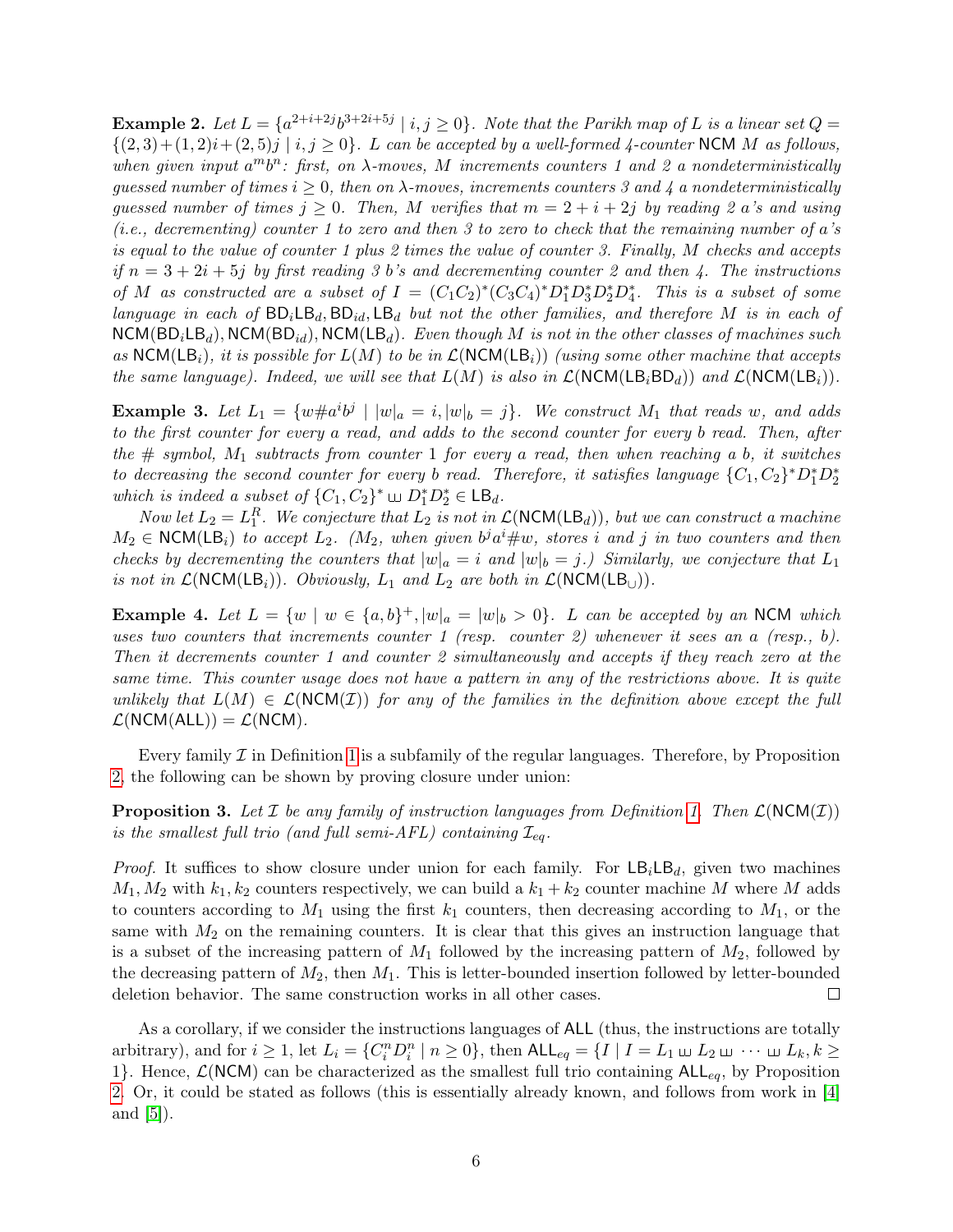**Example 2.** Let  $L = \{a^{2+i+2j}b^{3+2i+5j} \mid i, j \ge 0\}$ . Note that the Parikh map of L is a linear set  $Q =$  $\{(2,3)+(1, 2)i+(2, 5)j \mid i, j \ge 0\}$ . L can be accepted by a well-formed 4-counter NCM M as follows, when given input  $a^m b^n$ : first, on  $\lambda$ -moves, M increments counters 1 and 2 a nondeterministically guessed number of times  $i \geq 0$ , then on  $\lambda$ -moves, increments counters 3 and 4 a nondeterministically quessed number of times  $j > 0$ . Then, M verifies that  $m = 2 + i + 2j$  by reading 2 a's and using (i.e., decrementing) counter 1 to zero and then 3 to zero to check that the remaining number of a's is equal to the value of counter 1 plus 2 times the value of counter 3. Finally, M checks and accepts if  $n = 3 + 2i + 5j$  by first reading 3 b's and decrementing counter 2 and then 4. The instructions of M as constructed are a subset of  $I = (C_1C_2)^*(C_3C_4)^*D_1^*D_3^*D_2^*D_4^*$ . This is a subset of some language in each of  $BD_iLB_d$ ,  $BD_{id}$ ,  $LB_d$  but not the other families, and therefore M is in each of  $NCM(BD_iLB_d)$ ,  $NCM(BD_{id})$ ,  $NCM(LB_d)$ . Even though M is not in the other classes of machines such as NCM( $\mathsf{LB}_i$ ), it is possible for  $L(M)$  to be in  $\mathcal{L}(\mathsf{NCM}(\mathsf{LB}_i))$  (using some other machine that accepts the same language). Indeed, we will see that  $L(M)$  is also in  $\mathcal{L}(NCM(LB<sub>i</sub>BD<sub>d</sub>))$  and  $\mathcal{L}(NCM(LB<sub>i</sub>)).$ 

**Example 3.** Let  $L_1 = \{w \neq a^i b^j \mid |w|_a = i, |w|_b = j\}$ . We construct  $M_1$  that reads w, and adds to the first counter for every a read, and adds to the second counter for every b read. Then, after the  $\#$  symbol,  $M_1$  subtracts from counter 1 for every a read, then when reaching a b, it switches to decreasing the second counter for every b read. Therefore, it satisfies language  ${C_1, C_2}^*D_1^*D_2^*$ which is indeed a subset of  $\{C_1, C_2\}^* \sqcup D_1^* D_2^* \in \mathsf{LB}_d$ .

Now let  $L_2 = L_1^R$ . We conjecture that  $L_2$  is not in  $\mathcal{L}(\text{NCM}(\text{LB}_d))$ , but we can construct a machine  $M_2 \in \text{NCM}(\mathsf{LB}_i)$  to accept  $L_2$ . ( $M_2$ , when given  $b^j a^i \# w$ , stores i and j in two counters and then checks by decrementing the counters that  $|w|_a = i$  and  $|w|_b = j$ .) Similarly, we conjecture that  $L_1$ is not in  $\mathcal{L}(NCM(LB_i))$ . Obviously,  $L_1$  and  $L_2$  are both in  $\mathcal{L}(NCM(LB_{\cup}))$ .

**Example 4.** Let  $L = \{w \mid w \in \{a, b\}^+, |w|_a = |w|_b > 0\}$ . L can be accepted by an NCM which uses two counters that increments counter 1 (resp. counter 2) whenever it sees an a (resp., b). Then it decrements counter 1 and counter 2 simultaneously and accepts if they reach zero at the same time. This counter usage does not have a pattern in any of the restrictions above. It is quite unlikely that  $L(M) \in \mathcal{L}(\text{NCM}(\mathcal{I}))$  for any of the families in the definition above except the full  $\mathcal{L}(NCM(ALL)) = \mathcal{L}(NCM).$ 

Every family  $\mathcal I$  in Definition [1](#page-5-0) is a subfamily of the regular languages. Therefore, by Proposition [2,](#page-4-1) the following can be shown by proving closure under union:

<span id="page-6-0"></span>**Proposition 3.** Let  $\mathcal I$  be any family of instruction languages from Definition [1.](#page-5-0) Then  $\mathcal L(NCM(\mathcal I))$ is the smallest full trio (and full semi-AFL) containing  $\mathcal{I}_{eq}$ .

*Proof.* It suffices to show closure under union for each family. For  $LB_iLB_d$ , given two machines  $M_1, M_2$  with  $k_1, k_2$  counters respectively, we can build a  $k_1 + k_2$  counter machine M where M adds to counters according to  $M_1$  using the first  $k_1$  counters, then decreasing according to  $M_1$ , or the same with  $M_2$  on the remaining counters. It is clear that this gives an instruction language that is a subset of the increasing pattern of  $M_1$  followed by the increasing pattern of  $M_2$ , followed by the decreasing pattern of  $M_2$ , then  $M_1$ . This is letter-bounded insertion followed by letter-bounded deletion behavior. The same construction works in all other cases.  $\Box$ 

As a corollary, if we consider the instructions languages of ALL (thus, the instructions are totally arbitrary), and for  $i \geq 1$ , let  $L_i = \{C_i^n D_i^n \mid n \geq 0\}$ , then  $\mathsf{ALL}_{eq} = \{I \mid I = L_1 \sqcup L_2 \sqcup \cdots \sqcup L_k, k \geq 0\}$ 1}. Hence,  $\mathcal{L}(NCM)$  can be characterized as the smallest full trio containing  $ALL_{eq}$ , by Proposition [2.](#page-4-1) Or, it could be stated as follows (this is essentially already known, and follows from work in [\[4\]](#page-22-2) and [\[5\]](#page-22-3)).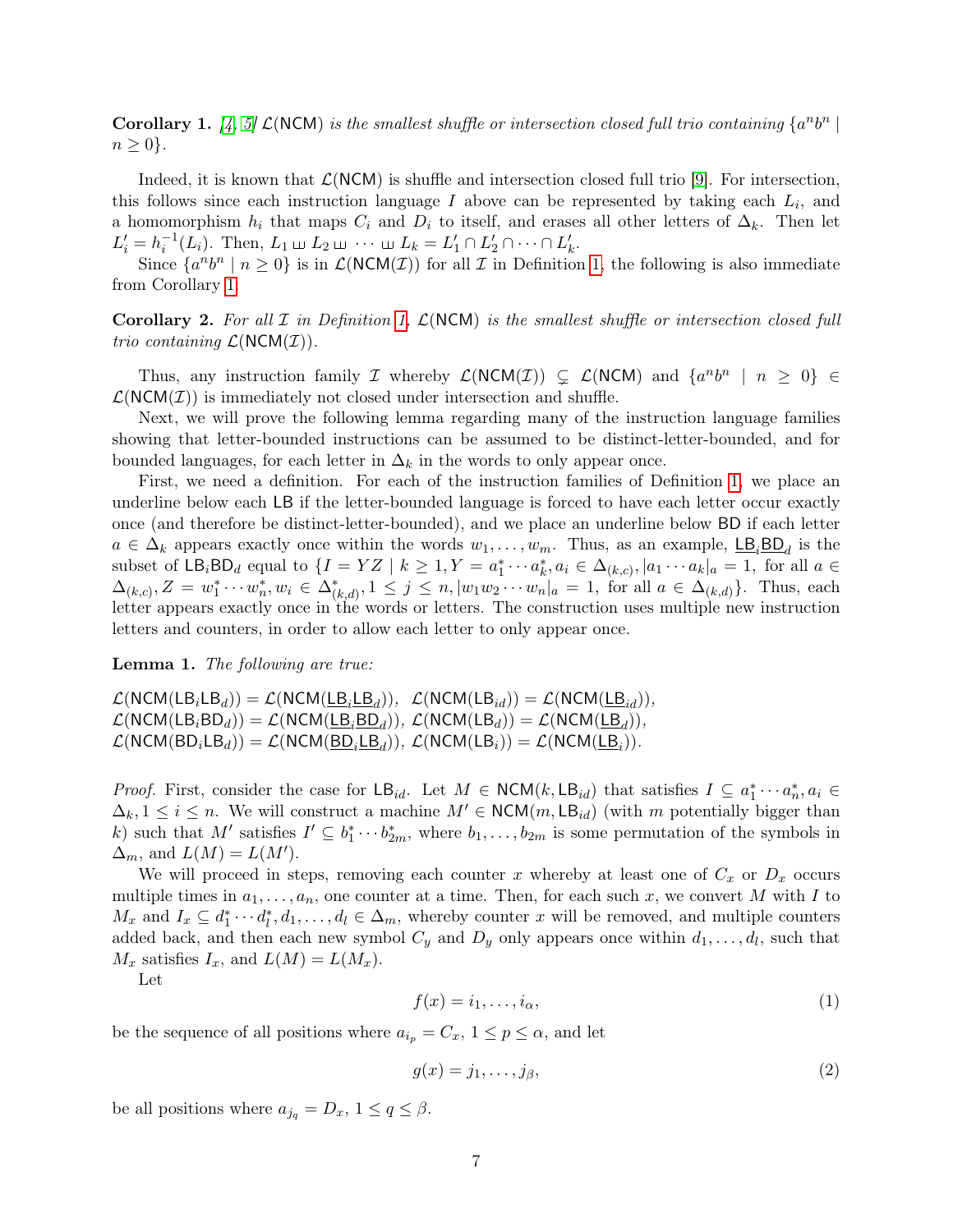<span id="page-7-0"></span>**Corollary 1.** [\[4,](#page-22-2) [5\]](#page-22-3)  $\mathcal{L}(\text{NCM})$  is the smallest shuffle or intersection closed full trio containing  $\{a^n b^n\}$  $n \geq 0$ .

Indeed, it is known that  $\mathcal{L}(NCM)$  is shuffle and intersection closed full trio [\[9\]](#page-23-1). For intersection, this follows since each instruction language  $I$  above can be represented by taking each  $L_i$ , and a homomorphism  $h_i$  that maps  $C_i$  and  $D_i$  to itself, and erases all other letters of  $\Delta_k$ . Then let  $L'_i = h_i^{-1}(L_i)$ . Then,  $L_1 \sqcup L_2 \sqcup \cdots \sqcup L_k = L'_1 \cap L'_2 \cap \cdots \cap L'_k$ .

Since  $\{a^nb^n \mid n \ge 0\}$  is in  $\mathcal{L}(\text{NCM}(\mathcal{I}))$  for all  $\mathcal I$  in Definition [1,](#page-5-0) the following is also immediate from Corollary [1:](#page-7-0)

**Corollary 2.** For all  $\mathcal I$  in Definition [1,](#page-5-0)  $\mathcal L(NCM)$  is the smallest shuffle or intersection closed full trio containing  $\mathcal{L}(\text{NCM}(\mathcal{I})).$ 

Thus, any instruction family *I* whereby  $\mathcal{L}(NCM(\mathcal{I})) \subsetneq \mathcal{L}(NCM)$  and  $\{a^n b^n \mid n \geq 0\} \in$  $\mathcal{L}(NCM(\mathcal{I}))$  is immediately not closed under intersection and shuffle.

Next, we will prove the following lemma regarding many of the instruction language families showing that letter-bounded instructions can be assumed to be distinct-letter-bounded, and for bounded languages, for each letter in  $\Delta_k$  in the words to only appear once.

First, we need a definition. For each of the instruction families of Definition [1,](#page-5-0) we place an underline below each LB if the letter-bounded language is forced to have each letter occur exactly once (and therefore be distinct-letter-bounded), and we place an underline below BD if each letter  $a \in \Delta_k$  appears exactly once within the words  $w_1, \ldots, w_m$ . Thus, as an example,  $\underline{\mathsf{LB}}_i \underline{\mathsf{BD}}_d$  is the subset of  $\mathsf{LB}_i \mathsf{BD}_d$  equal to  $\{I = YZ \mid k \geq 1, Y = a_1^* \cdots a_k^*, a_i \in \Delta_{(k,c)}, |a_1 \cdots a_k|_a = 1, \text{ for all } a \in \mathbb{R}$  $\Delta_{(k,c)}, Z = w_1^* \cdots w_n^*, w_i \in \Delta_{(k,d)}^*, 1 \leq j \leq n, |w_1 w_2 \cdots w_n|_a = 1$ , for all  $a \in \Delta_{(k,d)}$ . Thus, each letter appears exactly once in the words or letters. The construction uses multiple new instruction letters and counters, in order to allow each letter to only appear once.

<span id="page-7-3"></span>Lemma 1. The following are true:

 $\mathcal{L}(\mathsf{NCM}(\mathsf{LB}_i\mathsf{LB}_d)) = \mathcal{L}(\mathsf{NCM}(\mathsf{LB}_i\mathsf{LB}_d)), \ \ \mathcal{L}(\mathsf{NCM}(\mathsf{LB}_{id})) = \mathcal{L}(\mathsf{NCM}(\mathsf{LB}_{id})),$  $\mathcal{L}(\mathsf{NCM}(\mathsf{LB}_i\mathsf{BD}_d)) = \mathcal{L}(\mathsf{NCM}(\underline{\mathsf{LB}}_i\underline{\mathsf{BD}}_d)), \ \mathcal{L}(\mathsf{NCM}(\mathsf{LB}_d)) = \mathcal{L}(\mathsf{NCM}(\underline{\mathsf{LB}}_d)),$  $\mathcal{L}(\textsf{NCM}(\textsf{BD}_i \textsf{LB}_d)) = \mathcal{L}(\textsf{NCM}(\underline{\textsf{BD}}_i \textsf{LB}_d)), \ \mathcal{L}(\textsf{NCM}(\textsf{LB}_i)) = \mathcal{L}(\textsf{NCM}(\underline{\textsf{LB}}_i)).$ 

*Proof.* First, consider the case for  $\mathsf{LB}_{id}$ . Let  $M \in \mathsf{NCM}(k, \mathsf{LB}_{id})$  that satisfies  $I \subseteq a_1^* \cdots a_n^*, a_i \in$  $\Delta_k, 1 \leq i \leq n$ . We will construct a machine  $M' \in NCM(m, LB_{id})$  (with m potentially bigger than k) such that M' satisfies  $I' \subseteq b_1^* \cdots b_{2m}^*$ , where  $b_1, \ldots, b_{2m}$  is some permutation of the symbols in  $\Delta_m$ , and  $L(M) = L(M')$ .

We will proceed in steps, removing each counter x whereby at least one of  $C_x$  or  $D_x$  occurs multiple times in  $a_1, \ldots, a_n$ , one counter at a time. Then, for each such x, we convert M with I to  $M_x$  and  $I_x \subseteq d_1^* \cdots d_l^*, d_1, \ldots, d_l \in \Delta_m$ , whereby counter x will be removed, and multiple counters added back, and then each new symbol  $C_y$  and  $D_y$  only appears once within  $d_1, \ldots, d_l$ , such that  $M_x$  satisfies  $I_x$ , and  $L(M) = L(M_x)$ .

<span id="page-7-1"></span>Let

<span id="page-7-2"></span>
$$
f(x) = i_1, \dots, i_\alpha,\tag{1}
$$

be the sequence of all positions where  $a_{i_p} = C_x$ ,  $1 \le p \le \alpha$ , and let

$$
g(x) = j_1, \dots, j_\beta,\tag{2}
$$

be all positions where  $a_{j_q} = D_x$ ,  $1 \le q \le \beta$ .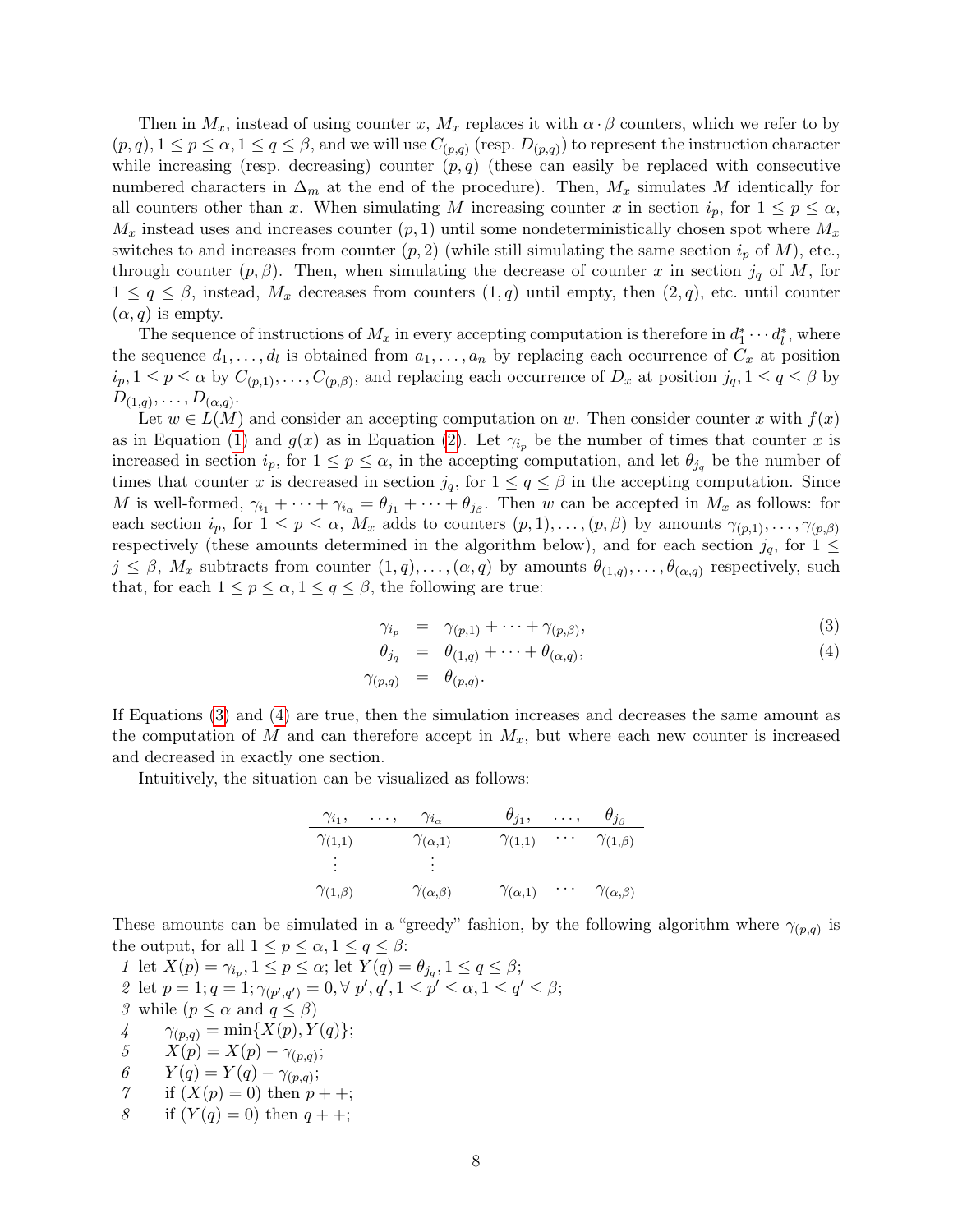Then in  $M_x$ , instead of using counter x,  $M_x$  replaces it with  $\alpha \cdot \beta$  counters, which we refer to by  $(p,q), 1 \leq p \leq \alpha, 1 \leq q \leq \beta$ , and we will use  $C_{(p,q)}$  (resp.  $D_{(p,q)}$ ) to represent the instruction character while increasing (resp. decreasing) counter  $(p, q)$  (these can easily be replaced with consecutive numbered characters in  $\Delta_m$  at the end of the procedure). Then,  $M_x$  simulates M identically for all counters other than x. When simulating M increasing counter x in section  $i_p$ , for  $1 \leq p \leq \alpha$ ,  $M_x$  instead uses and increases counter  $(p, 1)$  until some nondeterministically chosen spot where  $M_x$ switches to and increases from counter  $(p, 2)$  (while still simulating the same section  $i_p$  of M), etc., through counter  $(p, \beta)$ . Then, when simulating the decrease of counter x in section  $j_q$  of M, for  $1 \leq q \leq \beta$ , instead,  $M_x$  decreases from counters  $(1,q)$  until empty, then  $(2,q)$ , etc. until counter  $(\alpha, q)$  is empty.

The sequence of instructions of  $M_x$  in every accepting computation is therefore in  $d_1^* \cdots d_l^*$ , where the sequence  $d_1, \ldots, d_l$  is obtained from  $a_1, \ldots, a_n$  by replacing each occurrence of  $C_x$  at position  $i_p, 1 \le p \le \alpha$  by  $C_{(p,1)}, \ldots, C_{(p,\beta)}$ , and replacing each occurrence of  $D_x$  at position  $j_q, 1 \le q \le \beta$  by  $D_{(1,q)},\ldots,D_{(\alpha,q)}.$ 

Let  $w \in L(M)$  and consider an accepting computation on w. Then consider counter x with  $f(x)$ as in Equation [\(1\)](#page-7-1) and  $g(x)$  as in Equation [\(2\)](#page-7-2). Let  $\gamma_{i_p}$  be the number of times that counter x is increased in section  $i_p$ , for  $1 \leq p \leq \alpha$ , in the accepting computation, and let  $\theta_{i_q}$  be the number of times that counter x is decreased in section  $j_q$ , for  $1 \leq q \leq \beta$  in the accepting computation. Since M is well-formed,  $\gamma_{i_1} + \cdots + \gamma_{i_\alpha} = \theta_{j_1} + \cdots + \theta_{j_\beta}$ . Then w can be accepted in  $M_x$  as follows: for each section  $i_p$ , for  $1 \le p \le \alpha$ ,  $M_x$  adds to counters  $(p, 1), \ldots, (p, \beta)$  by amounts  $\gamma_{(p,1)}, \ldots, \gamma_{(p,\beta)}$ respectively (these amounts determined in the algorithm below), and for each section  $j_q$ , for  $1 \leq$  $j \leq \beta$ ,  $M_x$  subtracts from counter  $(1,q), \ldots, (\alpha,q)$  by amounts  $\theta_{(1,q)}, \ldots, \theta_{(\alpha,q)}$  respectively, such that, for each  $1 \leq p \leq \alpha, 1 \leq q \leq \beta$ , the following are true:

<span id="page-8-0"></span>
$$
\gamma_{i_p} = \gamma_{(p,1)} + \dots + \gamma_{(p,\beta)}, \tag{3}
$$

$$
\theta_{j_q} = \theta_{(1,q)} + \dots + \theta_{(\alpha,q)}, \tag{4}
$$

$$
\gamma_{(p,q)} \quad = \quad \theta_{(p,q)}.
$$

If Equations [\(3\)](#page-8-0) and [\(4\)](#page-8-0) are true, then the simulation increases and decreases the same amount as the computation of M and can therefore accept in  $M_x$ , but where each new counter is increased and decreased in exactly one section.

Intuitively, the situation can be visualized as follows:

$$
\begin{array}{c|ccccc}\n\gamma_{i_1}, & \ldots, & \gamma_{i_\alpha} & \theta_{j_1}, & \ldots, & \theta_{j_\beta} \\
\hline\n\gamma_{(1,1)} & & \gamma_{(\alpha,1)} & \gamma_{(1,1)} & \cdots & \gamma_{(1,\beta)} \\
\vdots & & \vdots & & \vdots \\
\gamma_{(1,\beta)} & & \gamma_{(\alpha,\beta)} & \gamma_{(\alpha,1)} & \cdots & \gamma_{(\alpha,\beta)}\n\end{array}
$$

These amounts can be simulated in a "greedy" fashion, by the following algorithm where  $\gamma_{(p,q)}$  is the output, for all  $1 \leq p \leq \alpha, 1 \leq q \leq \beta$ :

1 let  $X(p) = \gamma_{i_p}, 1 \le p \le \alpha$ ; let  $Y(q) = \theta_{j_q}, 1 \le q \le \beta$ ; 2 let  $p = 1; q = 1; \gamma_{(p',q')} = 0, \forall p', q', 1 \leq p' \leq \alpha, 1 \leq q' \leq \beta;$ 3 while  $(p \leq \alpha \text{ and } q \leq \beta)$ 4  $\gamma_{(p,q)} = \min\{X(p), Y(q)\};$ 5  $X(p) = X(p) - \gamma_{(p,q)};$ 6  $Y(q) = Y(q) - \gamma_{(p,q)};$ 7 if  $(X(p) = 0)$  then  $p + +$ ; 8 if  $(Y(q) = 0)$  then  $q + +$ ;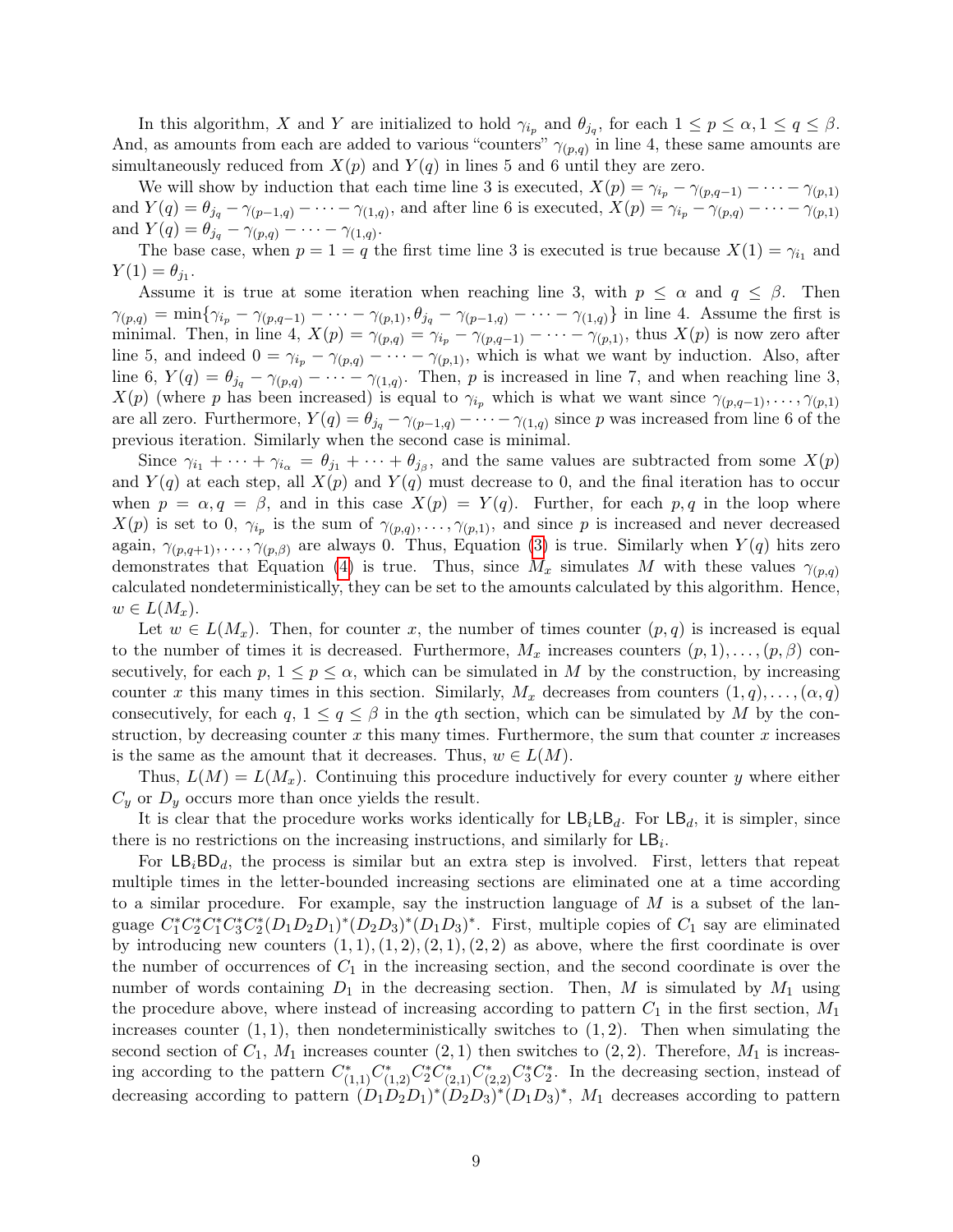In this algorithm, X and Y are initialized to hold  $\gamma_{i_p}$  and  $\theta_{j_q}$ , for each  $1 \leq p \leq \alpha, 1 \leq q \leq \beta$ . And, as amounts from each are added to various "counters"  $\gamma_{(p,q)}$  in line 4, these same amounts are simultaneously reduced from  $X(p)$  and  $Y(q)$  in lines 5 and 6 until they are zero.

We will show by induction that each time line 3 is executed,  $X(p) = \gamma_{i_p} - \gamma_{(p,q-1)} - \cdots - \gamma_{(p,1)}$ and  $Y(q) = \theta_{j_q} - \gamma_{(p-1,q)} - \cdots - \gamma_{(1,q)}$ , and after line 6 is executed,  $X(p) = \gamma_{i_p} - \gamma_{(p,q)} - \cdots - \gamma_{(p,1)}$ and  $Y(q) = \theta_{j_q} - \gamma_{(p,q)} - \cdots - \gamma_{(1,q)}$ .

The base case, when  $p = 1 = q$  the first time line 3 is executed is true because  $X(1) = \gamma_{i_1}$  and  $Y(1) = \theta_{j_1}.$ 

Assume it is true at some iteration when reaching line 3, with  $p \leq \alpha$  and  $q \leq \beta$ . Then  $\gamma_{(p,q)} = \min{\{\gamma_{i_p} - \gamma_{(p,q-1)} - \cdots - \gamma_{(p,1)}, \theta_{j_q} - \gamma_{(p-1,q)} - \cdots - \gamma_{(1,q)}\}}$  in line 4. Assume the first is minimal. Then, in line 4,  $X(p) = \gamma_{(p,q)} = \gamma_{i_p} - \gamma_{(p,q-1)} - \cdots - \gamma_{(p,1)}$ , thus  $X(p)$  is now zero after line 5, and indeed  $0 = \gamma_{i_p} - \gamma_{(p,q)} - \cdots - \gamma_{(p,1)}$ , which is what we want by induction. Also, after line 6,  $Y(q) = \theta_{j_q} - \gamma_{(p,q)} - \cdots - \gamma_{(1,q)}$ . Then, p is increased in line 7, and when reaching line 3,  $X(p)$  (where p has been increased) is equal to  $\gamma_{i_p}$  which is what we want since  $\gamma_{(p,q-1)}, \ldots, \gamma_{(p,1)}$ are all zero. Furthermore,  $Y(q) = \theta_{j_q} - \gamma_{(p-1,q)} - \cdots - \gamma_{(1,q)}$  since p was increased from line 6 of the previous iteration. Similarly when the second case is minimal.

Since  $\gamma_{i_1} + \cdots + \gamma_{i_\alpha} = \theta_{j_1} + \cdots + \theta_{j_\beta}$ , and the same values are subtracted from some  $X(p)$ and  $Y(q)$  at each step, all  $X(p)$  and  $Y(q)$  must decrease to 0, and the final iteration has to occur when  $p = \alpha, q = \beta$ , and in this case  $X(p) = Y(q)$ . Further, for each p, q in the loop where  $X(p)$  is set to 0,  $\gamma_{i_p}$  is the sum of  $\gamma_{(p,q)}, \ldots, \gamma_{(p,1)}$ , and since p is increased and never decreased again,  $\gamma_{(p,q+1)}, \ldots, \gamma_{(p,\beta)}$  are always 0. Thus, Equation [\(3\)](#page-8-0) is true. Similarly when  $Y(q)$  hits zero demonstrates that Equation [\(4\)](#page-8-0) is true. Thus, since  $M_x$  simulates M with these values  $\gamma_{(p,q)}$ calculated nondeterministically, they can be set to the amounts calculated by this algorithm. Hence,  $w \in L(M_x)$ .

Let  $w \in L(M_x)$ . Then, for counter x, the number of times counter  $(p,q)$  is increased is equal to the number of times it is decreased. Furthermore,  $M_x$  increases counters  $(p, 1), \ldots, (p, \beta)$  consecutively, for each p,  $1 \leq p \leq \alpha$ , which can be simulated in M by the construction, by increasing counter x this many times in this section. Similarly,  $M_x$  decreases from counters  $(1, q), \ldots, (\alpha, q)$ consecutively, for each  $q, 1 \leq q \leq \beta$  in the qth section, which can be simulated by M by the construction, by decreasing counter  $x$  this many times. Furthermore, the sum that counter  $x$  increases is the same as the amount that it decreases. Thus,  $w \in L(M)$ .

Thus,  $L(M) = L(M_x)$ . Continuing this procedure inductively for every counter y where either  $C_y$  or  $D_y$  occurs more than once yields the result.

It is clear that the procedure works works identically for  $LB_iLB_d$ . For  $LB_d$ , it is simpler, since there is no restrictions on the increasing instructions, and similarly for  $LB_i$ .

For  $LB_iBD_d$ , the process is similar but an extra step is involved. First, letters that repeat multiple times in the letter-bounded increasing sections are eliminated one at a time according to a similar procedure. For example, say the instruction language of  $M$  is a subset of the language  $C_1^* C_2^* C_1^* C_3^* C_2^* (D_1 D_2 D_1)^* (D_2 D_3)^* (D_1 D_3)^*$ . First, multiple copies of  $C_1$  say are eliminated by introducing new counters  $(1, 1), (1, 2), (2, 1), (2, 2)$  as above, where the first coordinate is over the number of occurrences of  $C_1$  in the increasing section, and the second coordinate is over the number of words containing  $D_1$  in the decreasing section. Then, M is simulated by  $M_1$  using the procedure above, where instead of increasing according to pattern  $C_1$  in the first section,  $M_1$ increases counter  $(1, 1)$ , then nondeterministically switches to  $(1, 2)$ . Then when simulating the second section of  $C_1$ ,  $M_1$  increases counter  $(2, 1)$  then switches to  $(2, 2)$ . Therefore,  $M_1$  is increasing according to the pattern  $C_{(1,1)}^* C_{(1,2)}^* C_2^* C_{(2,1)}^* C_{(2,2)}^* C_3^* C_2^*$ . In the decreasing section, instead of decreasing according to pattern  $(D_1D_2D_1)^*(D_2D_3)^*(D_1D_3)^*$ ,  $M_1$  decreases according to pattern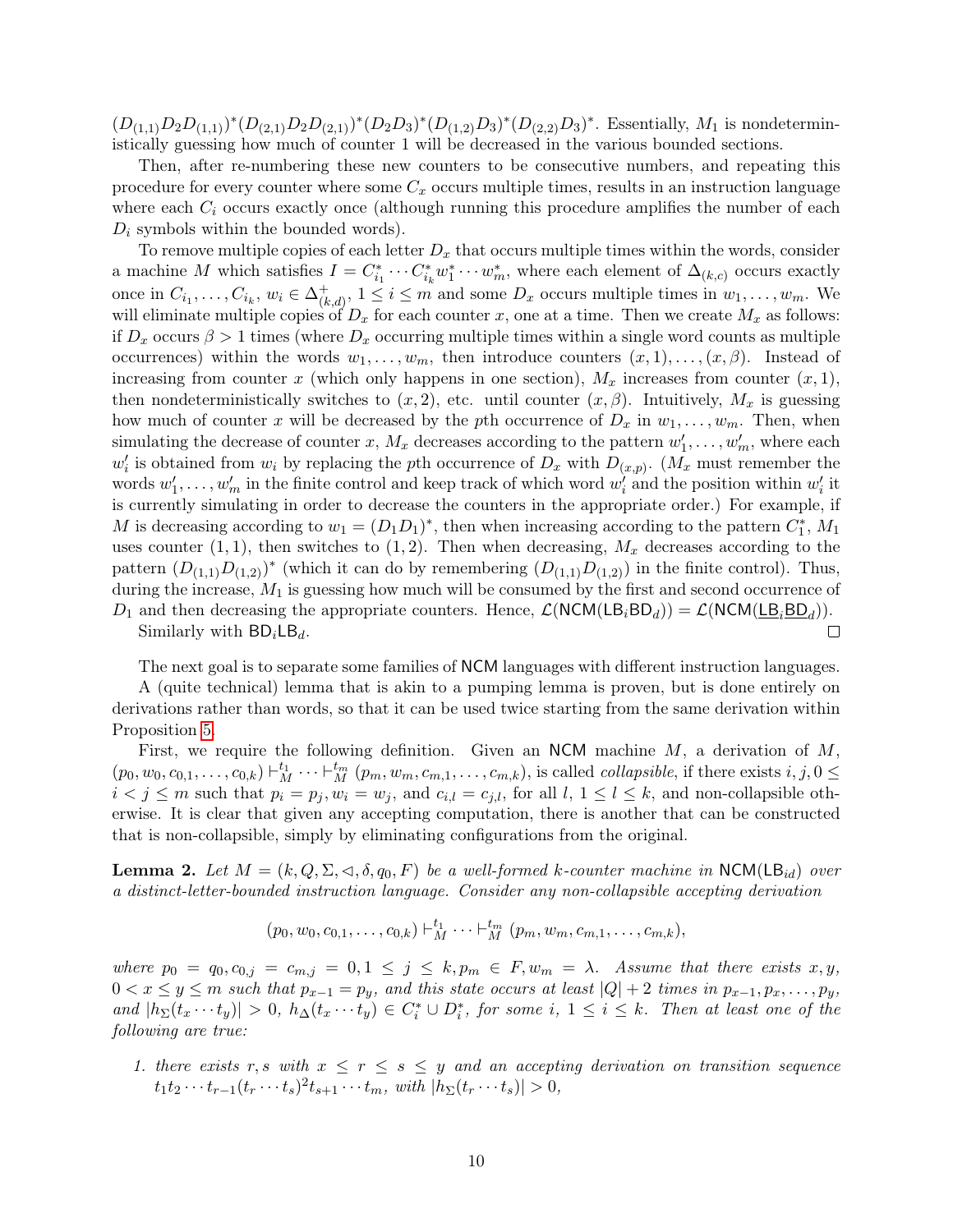$(D_{(1,1)}D_2D_{(1,1)})^*(D_{(2,1)}D_2D_{(2,1)})^*(D_2D_3)^*(D_{(1,2)}D_3)^*(D_{(2,2)}D_3)^*$ . Essentially,  $M_1$  is nondeterministically guessing how much of counter 1 will be decreased in the various bounded sections.

Then, after re-numbering these new counters to be consecutive numbers, and repeating this procedure for every counter where some  $C_x$  occurs multiple times, results in an instruction language where each  $C_i$  occurs exactly once (although running this procedure amplifies the number of each  $D_i$  symbols within the bounded words).

To remove multiple copies of each letter  $D_x$  that occurs multiple times within the words, consider a machine M which satisfies  $I = C_{i_1}^* \cdots C_{i_k}^* w_1^* \cdots w_m^*$ , where each element of  $\Delta_{(k,c)}$  occurs exactly once in  $C_{i_1}, \ldots, C_{i_k}, w_i \in \Delta_{(k)}^+$  $(k, d)$ ,  $1 \leq i \leq m$  and some  $D_x$  occurs multiple times in  $w_1, \ldots, w_m$ . We will eliminate multiple copies of  $D_x$  for each counter x, one at a time. Then we create  $M_x$  as follows: if  $D_x$  occurs  $\beta > 1$  times (where  $D_x$  occurring multiple times within a single word counts as multiple occurrences) within the words  $w_1, \ldots, w_m$ , then introduce counters  $(x, 1), \ldots, (x, \beta)$ . Instead of increasing from counter x (which only happens in one section),  $M_x$  increases from counter  $(x, 1)$ , then nondeterministically switches to  $(x, 2)$ , etc. until counter  $(x, \beta)$ . Intuitively,  $M_x$  is guessing how much of counter x will be decreased by the pth occurrence of  $D_x$  in  $w_1, \ldots, w_m$ . Then, when simulating the decrease of counter x,  $M_x$  decreases according to the pattern  $w'_1, \ldots, w'_m$ , where each  $w'_i$  is obtained from  $w_i$  by replacing the pth occurrence of  $D_x$  with  $D_{(x,p)}$ .  $(M_x$  must remember the words  $w'_1, \ldots, w'_m$  in the finite control and keep track of which word  $w'_i$  and the position within  $w'_i$  it is currently simulating in order to decrease the counters in the appropriate order.) For example, if M is decreasing according to  $w_1 = (D_1 D_1)^*$ , then when increasing according to the pattern  $C_1^*$ ,  $M_1$ uses counter  $(1, 1)$ , then switches to  $(1, 2)$ . Then when decreasing,  $M_x$  decreases according to the pattern  $(D_{(1,1)}D_{(1,2)})^*$  (which it can do by remembering  $(D_{(1,1)}D_{(1,2)})$  in the finite control). Thus, during the increase,  $M_1$  is guessing how much will be consumed by the first and second occurrence of  $D_1$  and then decreasing the appropriate counters. Hence,  $\mathcal{L}(NCM(LB_iBD_d)) = \mathcal{L}(NCM(\underline{LB}_iBD_d))$ .  $\Box$ 

Similarly with  $BD_iLB_d$ .

The next goal is to separate some families of NCM languages with different instruction languages.

A (quite technical) lemma that is akin to a pumping lemma is proven, but is done entirely on derivations rather than words, so that it can be used twice starting from the same derivation within Proposition [5.](#page-12-0)

First, we require the following definition. Given an NCM machine  $M$ , a derivation of  $M$ ,  $(p_0, w_0, c_{0,1}, \ldots, c_{0,k}) \vdash_M^{t_1} \cdots \vdash_M^{t_m} (p_m, w_m, c_{m,1}, \ldots, c_{m,k}),$  is called *collapsible*, if there exists  $i, j, 0 \leq$  $i < j \le m$  such that  $p_i = p_j, w_i = w_j$ , and  $c_{i,l} = c_{j,l}$ , for all  $l, 1 \le l \le k$ , and non-collapsible otherwise. It is clear that given any accepting computation, there is another that can be constructed that is non-collapsible, simply by eliminating configurations from the original.

<span id="page-10-0"></span>**Lemma 2.** Let  $M = (k, Q, \Sigma, \triangleleft, \delta, q_0, F)$  be a well-formed k-counter machine in NCM(LB<sub>id</sub>) over a distinct-letter-bounded instruction language. Consider any non-collapsible accepting derivation

$$
(p_0, w_0, c_{0,1}, \ldots, c_{0,k}) \vdash_M^{t_1} \cdots \vdash_M^{t_m} (p_m, w_m, c_{m,1}, \ldots, c_{m,k}),
$$

where  $p_0 = q_0, c_{0,j} = c_{m,j} = 0, 1 \le j \le k, p_m \in F, w_m = \lambda$ . Assume that there exists  $x, y$ ,  $0 < x \leq y \leq m$  such that  $p_{x-1} = p_y$ , and this state occurs at least  $|Q| + 2$  times in  $p_{x-1}, p_x, \ldots, p_y$ , and  $|h_{\Sigma}(t_x \cdots t_y)| > 0$ ,  $h_{\Delta}(t_x \cdots t_y) \in C_i^* \cup D_i^*$ , for some i,  $1 \leq i \leq k$ . Then at least one of the following are true:

1. there exists r, s with  $x \leq r \leq s \leq y$  and an accepting derivation on transition sequence  $t_1 t_2 \cdots t_{r-1} (t_r \cdots t_s)^2 t_{s+1} \cdots t_m$ , with  $|h_{\Sigma}(t_r \cdots t_s)| > 0$ ,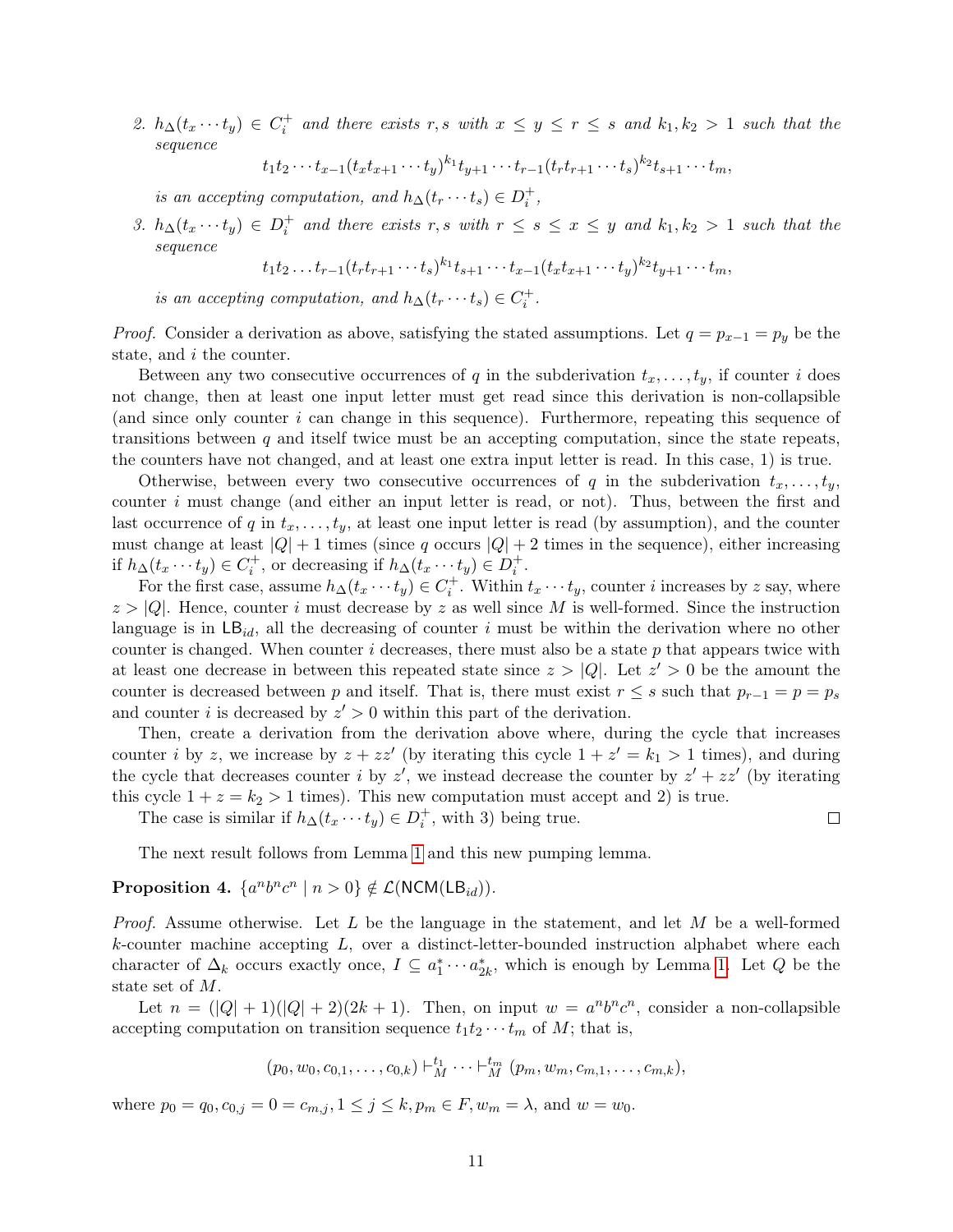2.  $h_{\Delta}(t_x \cdots t_y) \in C_i^+$  and there exists r, s with  $x \leq y \leq r \leq s$  and  $k_1, k_2 > 1$  such that the sequence

$$
t_1t_2\cdots t_{x-1}(t_xt_{x+1}\cdots t_y)^{k_1}t_{y+1}\cdots t_{r-1}(t_rt_{r+1}\cdots t_s)^{k_2}t_{s+1}\cdots t_m,
$$

is an accepting computation, and  $h_{\Delta}(t_r \cdots t_s) \in D_i^+$ ,

3.  $h_{\Delta}(t_x \cdots t_y) \in D_i^+$  and there exists r, s with  $r \leq s \leq x \leq y$  and  $k_1, k_2 > 1$  such that the sequence

$$
t_1t_2...t_{r-1}(t_rt_{r+1}...t_s)^{k_1}t_{s+1}...t_{x-1}(t_xt_{x+1}...t_y)^{k_2}t_{y+1}...t_m,
$$

is an accepting computation, and  $h_{\Delta}(t_r \cdots t_s) \in C_i^+$ .

*Proof.* Consider a derivation as above, satisfying the stated assumptions. Let  $q = p_{x-1} = p_y$  be the state, and *i* the counter.

Between any two consecutive occurrences of q in the subderivation  $t_x, \ldots, t_y$ , if counter i does not change, then at least one input letter must get read since this derivation is non-collapsible (and since only counter i can change in this sequence). Furthermore, repeating this sequence of transitions between  $q$  and itself twice must be an accepting computation, since the state repeats, the counters have not changed, and at least one extra input letter is read. In this case, 1) is true.

Otherwise, between every two consecutive occurrences of q in the subderivation  $t_x, \ldots, t_y$ , counter  $i$  must change (and either an input letter is read, or not). Thus, between the first and last occurrence of q in  $t_x, \ldots, t_y$ , at least one input letter is read (by assumption), and the counter must change at least  $|Q| + 1$  times (since q occurs  $|Q| + 2$  times in the sequence), either increasing if  $h_{\Delta}(t_x \cdots t_y) \in C_i^+$ , or decreasing if  $h_{\Delta}(t_x \cdots t_y) \in D_i^+$ .

For the first case, assume  $h_{\Delta}(t_x \cdots t_y) \in C_i^+$ . Within  $t_x \cdots t_y$ , counter *i* increases by *z* say, where  $z > |Q|$ . Hence, counter i must decrease by z as well since M is well-formed. Since the instruction language is in  $\textsf{LB}_{id}$ , all the decreasing of counter i must be within the derivation where no other counter is changed. When counter  $i$  decreases, there must also be a state  $p$  that appears twice with at least one decrease in between this repeated state since  $z > |Q|$ . Let  $z' > 0$  be the amount the counter is decreased between p and itself. That is, there must exist  $r \leq s$  such that  $p_{r-1} = p = p_s$ and counter i is decreased by  $z' > 0$  within this part of the derivation.

Then, create a derivation from the derivation above where, during the cycle that increases counter *i* by *z*, we increase by  $z + zz'$  (by iterating this cycle  $1 + z' = k_1 > 1$  times), and during the cycle that decreases counter i by z', we instead decrease the counter by  $z' + zz'$  (by iterating this cycle  $1 + z = k_2 > 1$  times). This new computation must accept and 2) is true.

The case is similar if  $h_{\Delta}(t_x \cdots t_y) \in D_i^+$ , with 3) being true.

The next result follows from Lemma [1](#page-7-3) and this new pumping lemma.

### <span id="page-11-0"></span>Proposition 4.  $\{a^nb^nc^n \mid n > 0\} \notin \mathcal{L}(\mathsf{NCM}(\mathsf{LB}_{id}))$ .

*Proof.* Assume otherwise. Let L be the language in the statement, and let M be a well-formed  $k$ -counter machine accepting  $L$ , over a distinct-letter-bounded instruction alphabet where each character of  $\Delta_k$  occurs exactly once,  $I \subseteq a_1^* \cdots a_{2k}^*$ , which is enough by Lemma [1.](#page-7-3) Let Q be the state set of M.

Let  $n = (|Q| + 1)(|Q| + 2)(2k + 1)$ . Then, on input  $w = a^n b^n c^n$ , consider a non-collapsible accepting computation on transition sequence  $t_1t_2 \cdots t_m$  of M; that is,

$$
(p_0, w_0, c_{0,1}, \ldots, c_{0,k}) \vdash_M^{t_1} \cdots \vdash_M^{t_m} (p_m, w_m, c_{m,1}, \ldots, c_{m,k}),
$$

where  $p_0 = q_0, c_{0,j} = 0 = c_{m,j}, 1 \le j \le k, p_m \in F, w_m = \lambda$ , and  $w = w_0$ .

 $\Box$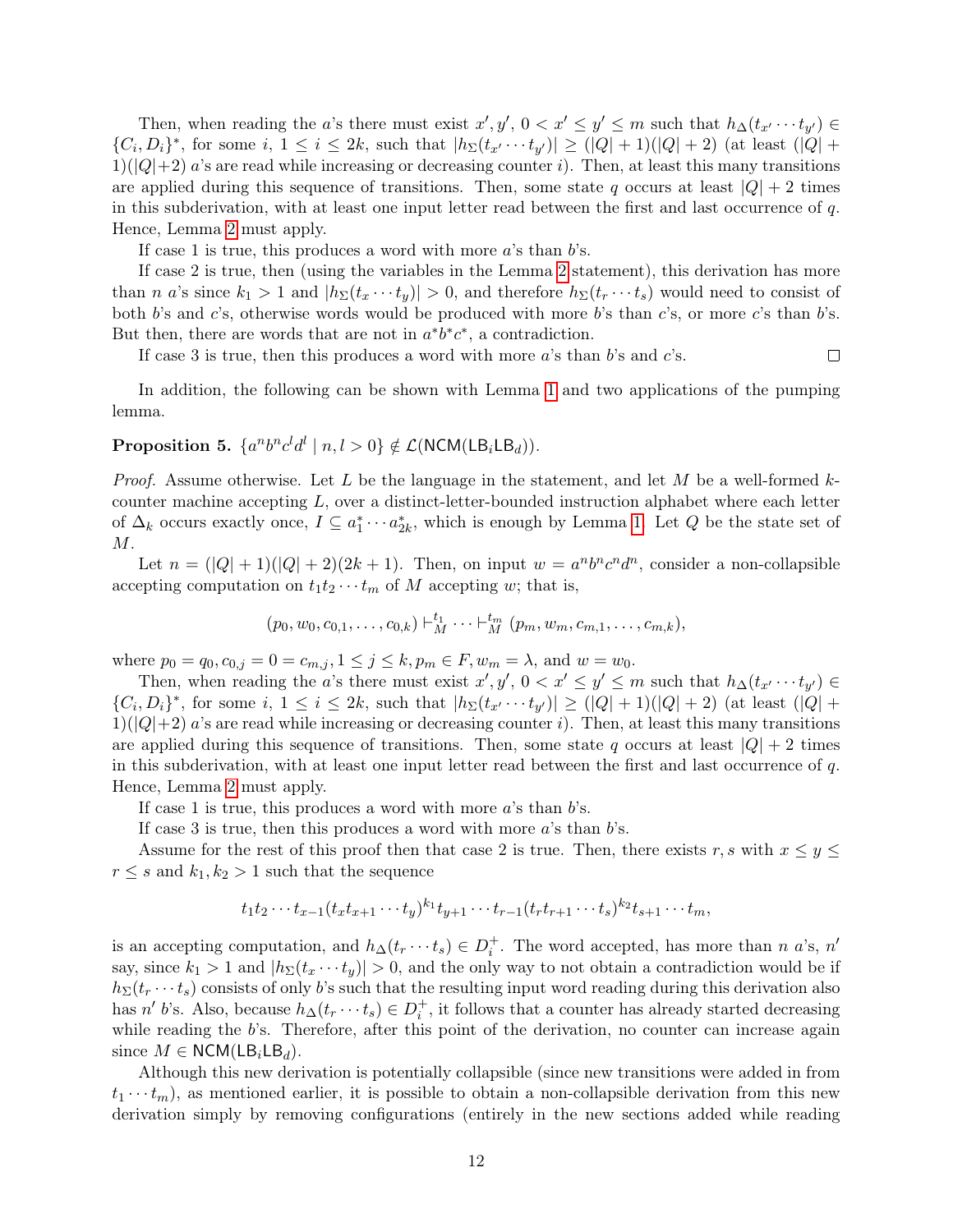Then, when reading the a's there must exist  $x', y', 0 < x' \le y' \le m$  such that  $h_{\Delta}(t_{x'} \cdots t_{y'}) \in$  ${C_i, D_i}^*$ , for some i,  $1 \le i \le 2k$ , such that  $|h_{\Sigma}(t_{x'} \cdots t_{y'})| \ge (|Q|+1)(|Q|+2)$  (at least  $(|Q|+1)$ )  $1)(|Q|+2)$  a's are read while increasing or decreasing counter i). Then, at least this many transitions are applied during this sequence of transitions. Then, some state q occurs at least  $|Q| + 2$  times in this subderivation, with at least one input letter read between the first and last occurrence of q. Hence, Lemma [2](#page-10-0) must apply.

If case 1 is true, this produces a word with more  $a$ 's than  $b$ 's.

If case 2 is true, then (using the variables in the Lemma [2](#page-10-0) statement), this derivation has more than n a's since  $k_1 > 1$  and  $|h_{\Sigma}(t_x \cdots t_y)| > 0$ , and therefore  $h_{\Sigma}(t_x \cdots t_s)$  would need to consist of both b's and c's, otherwise words would be produced with more b's than c's, or more c's than b's. But then, there are words that are not in  $a^*b^*c^*$ , a contradiction.

If case 3 is true, then this produces a word with more  $a$ 's than  $b$ 's and  $c$ 's.  $\Box$ 

In addition, the following can be shown with Lemma [1](#page-7-3) and two applications of the pumping lemma.

### <span id="page-12-0"></span>Proposition 5.  $\{a^nb^nc^ld^l | n,l>0\} \notin \mathcal{L}(\mathsf{NCM}(\mathsf{LB}_i\mathsf{LB}_d)).$

*Proof.* Assume otherwise. Let L be the language in the statement, and let M be a well-formed  $k$ counter machine accepting  $L$ , over a distinct-letter-bounded instruction alphabet where each letter of  $\Delta_k$  occurs exactly once,  $I \subseteq a_1^* \cdots a_{2k}^*$ , which is enough by Lemma [1.](#page-7-3) Let  $Q$  be the state set of  $M$  .

Let  $n = (|Q| + 1)(|Q| + 2)(2k + 1)$ . Then, on input  $w = a^n b^n c^n d^n$ , consider a non-collapsible accepting computation on  $t_1t_2\cdots t_m$  of M accepting w; that is,

$$
(p_0, w_0, c_{0,1}, \ldots, c_{0,k}) \vdash_M^{t_1} \cdots \vdash_M^{t_m} (p_m, w_m, c_{m,1}, \ldots, c_{m,k}),
$$

where  $p_0 = q_0, c_{0,j} = 0 = c_{m,j}, 1 \le j \le k, p_m \in F, w_m = \lambda$ , and  $w = w_0$ .

Then, when reading the a's there must exist  $x', y', 0 < x' \le y' \le m$  such that  $h_{\Delta}(t_{x'} \cdots t_{y'}) \in$  ${C_i, D_i}^*$ , for some i,  $1 \le i \le 2k$ , such that  $|h_{\Sigma}(t_{x'} \cdots t_{y'})| \ge (|Q|+1)(|Q|+2)$  (at least  $(|Q|+1)$ )  $1)(|Q|+2)$  a's are read while increasing or decreasing counter i). Then, at least this many transitions are applied during this sequence of transitions. Then, some state q occurs at least  $|Q| + 2$  times in this subderivation, with at least one input letter read between the first and last occurrence of q. Hence, Lemma [2](#page-10-0) must apply.

If case 1 is true, this produces a word with more  $a$ 's than  $b$ 's.

If case 3 is true, then this produces a word with more  $a$ 's than  $b$ 's.

Assume for the rest of this proof then that case 2 is true. Then, there exists r, s with  $x \leq y \leq$  $r \leq s$  and  $k_1, k_2 > 1$  such that the sequence

$$
t_1t_2\cdots t_{x-1}(t_xt_{x+1}\cdots t_y)^{k_1}t_{y+1}\cdots t_{r-1}(t_rt_{r+1}\cdots t_s)^{k_2}t_{s+1}\cdots t_m,
$$

is an accepting computation, and  $h_{\Delta}(t_r \cdots t_s) \in D_i^+$ . The word accepted, has more than n a's, n' say, since  $k_1 > 1$  and  $|h_{\Sigma}(t_x \cdots t_y)| > 0$ , and the only way to not obtain a contradiction would be if  $h_{\Sigma}(t_r \cdots t_s)$  consists of only b's such that the resulting input word reading during this derivation also has n' b's. Also, because  $h_{\Delta}(t_r \cdots t_s) \in D_i^+$ , it follows that a counter has already started decreasing while reading the  $b$ 's. Therefore, after this point of the derivation, no counter can increase again since  $M \in \text{NCM}(LB_iLB_d)$ .

Although this new derivation is potentially collapsible (since new transitions were added in from  $t_1 \cdots t_m$ , as mentioned earlier, it is possible to obtain a non-collapsible derivation from this new derivation simply by removing configurations (entirely in the new sections added while reading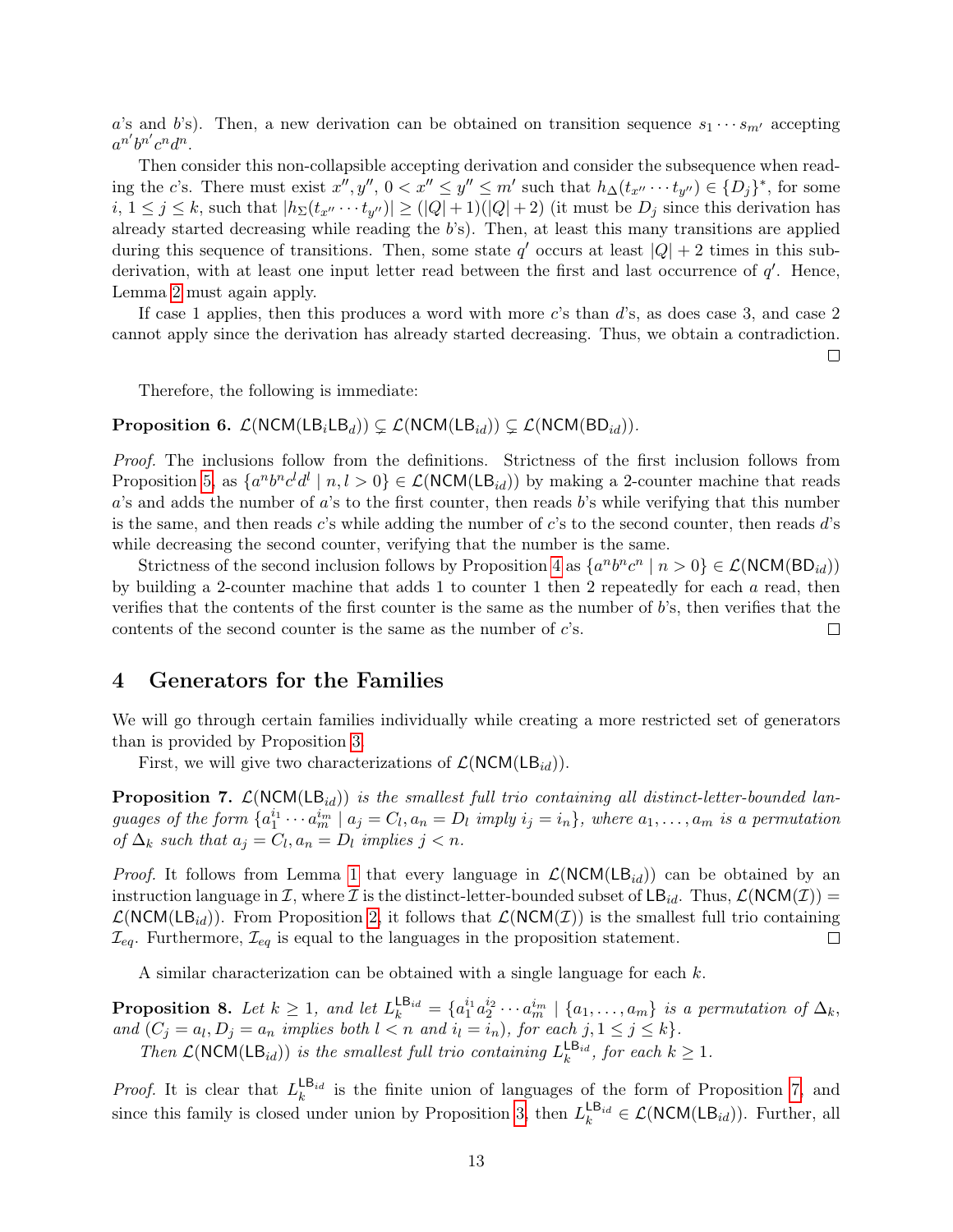a's and b's). Then, a new derivation can be obtained on transition sequence  $s_1 \cdots s_{m'}$  accepting  $a^{n'}b^{n'}c^n d^n.$ 

Then consider this non-collapsible accepting derivation and consider the subsequence when reading the c's. There must exist  $x'', y'', 0 < x'' \le y'' \le m'$  such that  $h_{\Delta}(t_{x''} \cdots t_{y''}) \in \{D_j\}^*$ , for some  $i, 1 \leq j \leq k$ , such that  $|h_{\Sigma}(t_{x''} \cdots t_{y''})| \geq (|Q|+1)(|Q|+2)$  (it must be  $D_j$  since this derivation has already started decreasing while reading the b's). Then, at least this many transitions are applied during this sequence of transitions. Then, some state  $q'$  occurs at least  $|Q| + 2$  times in this subderivation, with at least one input letter read between the first and last occurrence of  $q'$ . Hence, Lemma [2](#page-10-0) must again apply.

If case 1 applies, then this produces a word with more c's than d's, as does case 3, and case 2 cannot apply since the derivation has already started decreasing. Thus, we obtain a contradiction.

 $\Box$ 

Therefore, the following is immediate:

**Proposition 6.**  $\mathcal{L}(NCM(LB_iLB_d)) \subseteq \mathcal{L}(NCM(LB_{id})) \subseteq \mathcal{L}(NCM(BD_{id})).$ 

Proof. The inclusions follow from the definitions. Strictness of the first inclusion follows from Proposition [5,](#page-12-0) as  $\{a^nb^nc^ld^l | n,l>0\} \in \mathcal{L}(\text{NCM}(\mathsf{LB}_{id}))$  by making a 2-counter machine that reads a's and adds the number of a's to the first counter, then reads b's while verifying that this number is the same, and then reads  $c$ 's while adding the number of  $c$ 's to the second counter, then reads  $d$ 's while decreasing the second counter, verifying that the number is the same.

Strictness of the second inclusion follows by Proposition [4](#page-11-0) as  $\{a^nb^nc^n \mid n > 0\} \in \mathcal{L}(\text{NCM}(BD_{id}))$ by building a 2-counter machine that adds 1 to counter 1 then 2 repeatedly for each  $a$  read, then verifies that the contents of the first counter is the same as the number of b's, then verifies that the contents of the second counter is the same as the number of  $c$ 's.  $\Box$ 

#### 4 Generators for the Families

We will go through certain families individually while creating a more restricted set of generators than is provided by Proposition [3.](#page-6-0)

First, we will give two characterizations of  $\mathcal{L}(NCM(LB_{id}))$ .

<span id="page-13-0"></span>**Proposition 7.**  $\mathcal{L}(NCM(LB_{id}))$  is the smallest full trio containing all distinct-letter-bounded languages of the form  $\{a_1^{i_1} \cdots a_m^{i_m} \mid a_j = C_l, a_n = D_l \text{ imply } i_j = i_n\}$ , where  $a_1, \ldots, a_m$  is a permutation of  $\Delta_k$  such that  $a_j = C_l, a_n = D_l$  implies  $j < n$ .

*Proof.* It follows from Lemma [1](#page-7-3) that every language in  $\mathcal{L}(NCM(LB_{id}))$  can be obtained by an instruction language in  $\mathcal I$ , where  $\mathcal I$  is the distinct-letter-bounded subset of  $\mathsf{LB}_{id}$ . Thus,  $\mathcal L(\mathsf{NCM}(\mathcal I))$  =  $\mathcal{L}(NCM(LB_{id}))$ . From Proposition [2,](#page-4-1) it follows that  $\mathcal{L}(NCM(\mathcal{I}))$  is the smallest full trio containing  $\mathcal{I}_{eq}$ . Furthermore,  $\mathcal{I}_{eq}$  is equal to the languages in the proposition statement.  $\Box$ 

A similar characterization can be obtained with a single language for each k.

<span id="page-13-1"></span>**Proposition 8.** Let  $k \geq 1$ , and let  $L_k^{\text{LB}_{id}} = \{a_1^{i_1} a_2^{i_2} \cdots a_m^{i_m} \mid \{a_1, \ldots, a_m\}$  is a permutation of  $\Delta_k$ , and  $(C_j = a_l, D_j = a_n$  implies both  $l < n$  and  $i_l = i_n$ , for each  $j, 1 \le j \le k$ . Then  $\mathcal{L}(\text{NCM}(\text{LB}_{id}))$  is the smallest full trio containing  $L_k^{\text{LB}_{id}}$ , for each  $k \geq 1$ .

*Proof.* It is clear that  $L_k^{\text{LB}_{id}}$  is the finite union of languages of the form of Proposition [7,](#page-13-0) and since this family is closed under union by Proposition [3,](#page-6-0) then  $L_k^{\text{LB}_{id}} \in \mathcal{L}(\text{NCM}(\text{LB}_{id}))$ . Further, all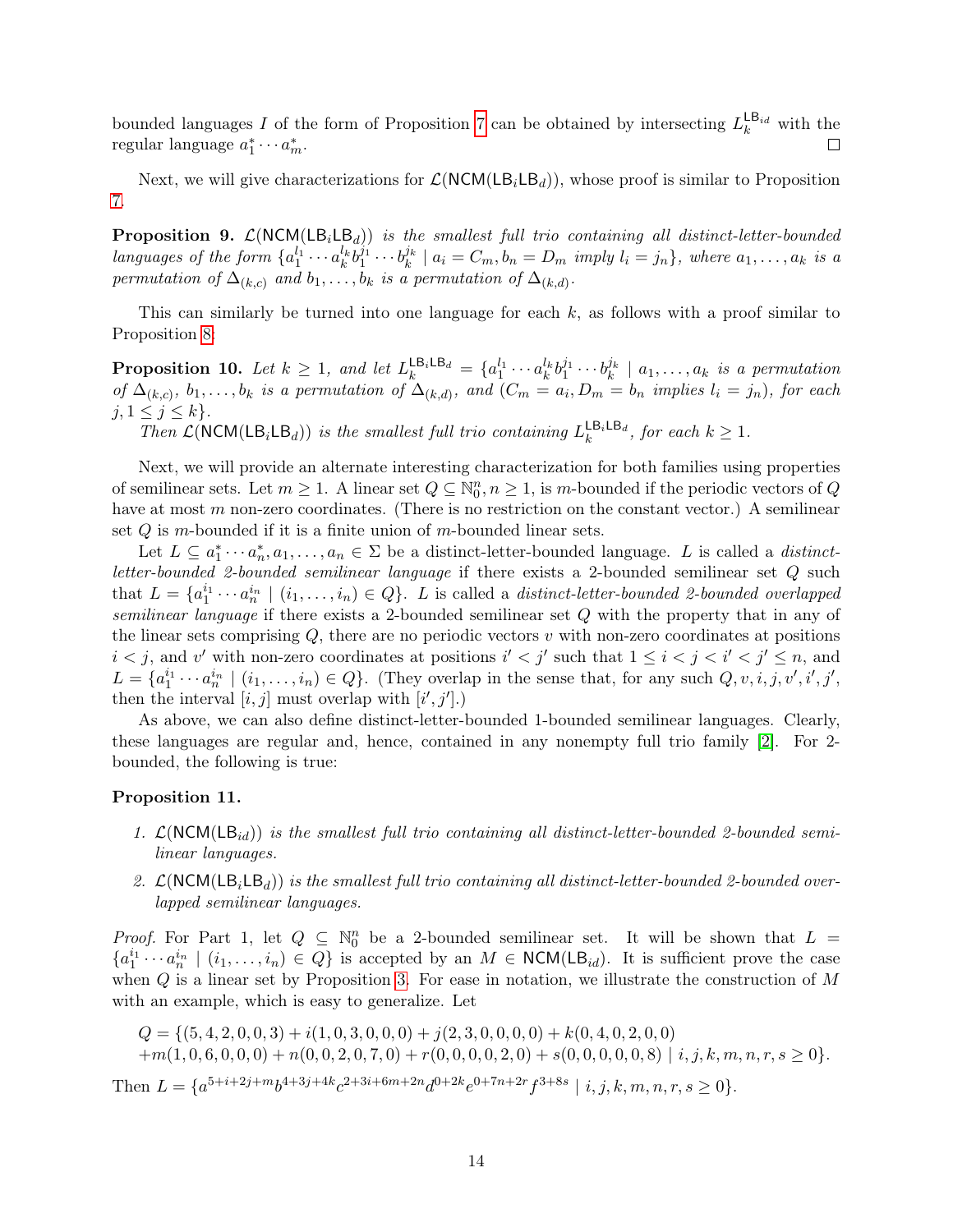bounded languages I of the form of Proposition [7](#page-13-0) can be obtained by intersecting  $L_k^{\text{LB}_{id}}$  with the regular language  $a_1^* \cdots a_m^*$ . П

Next, we will give characterizations for  $\mathcal{L}(NCM(LB<sub>i</sub>LB<sub>d</sub>))$ , whose proof is similar to Proposition [7.](#page-13-0)

<span id="page-14-0"></span>**Proposition 9.**  $\mathcal{L}(NCM(LB_iLB_d))$  is the smallest full trio containing all distinct-letter-bounded languages of the form  $\{a_1^{l_1} \cdots a_k^{l_k} b_1^{j_1} \cdots b_k^{j_k} \mid a_i = C_m, b_n = D_m \text{ imply } l_i = j_n \}$ , where  $a_1, \ldots, a_k$  is a permutation of  $\Delta_{(k,c)}$  and  $b_1, \ldots, b_k$  is a permutation of  $\Delta_{(k,d)}$ .

This can similarly be turned into one language for each  $k$ , as follows with a proof similar to Proposition [8:](#page-13-1)

**Proposition 10.** Let  $k \geq 1$ , and let  $L_k^{\text{LB}_i \text{LB}_d} = \{a_1^{l_1} \cdots a_k^{l_k} b_1^{j_1} \cdots b_k^{j_k} \mid a_1, \ldots, a_k \text{ is a permutation} \}$ of  $\Delta_{(k,c)}, b_1, \ldots, b_k$  is a permutation of  $\Delta_{(k,d)}$ , and  $(C_m = a_i, D_m = b_n$  implies  $l_i = j_n$ , for each  $j, 1 \leq j \leq k$ .

Then  $\mathcal{L}(\text{NCM}(\text{LB}_i \text{LB}_d))$  is the smallest full trio containing  $L_k^{\text{LB}_i \text{LB}_d}$ , for each  $k \geq 1$ .

Next, we will provide an alternate interesting characterization for both families using properties of semilinear sets. Let  $m \geq 1$ . A linear set  $Q \subseteq \mathbb{N}_0^n$ ,  $n \geq 1$ , is m-bounded if the periodic vectors of Q have at most m non-zero coordinates. (There is no restriction on the constant vector.) A semilinear set  $Q$  is m-bounded if it is a finite union of m-bounded linear sets.

Let  $L \subseteq a_1^* \cdots a_n^*$ ,  $a_1, \ldots, a_n \in \Sigma$  be a distinct-letter-bounded language. L is called a *distinct*letter-bounded 2-bounded semilinear language if there exists a 2-bounded semilinear set Q such that  $L = \{a_1^{i_1} \cdots a_n^{i_n} \mid (i_1, \ldots, i_n) \in Q\}$ . L is called a *distinct-letter-bounded 2-bounded overlapped* semilinear language if there exists a 2-bounded semilinear set Q with the property that in any of the linear sets comprising  $Q$ , there are no periodic vectors  $v$  with non-zero coordinates at positions  $i < j$ , and v' with non-zero coordinates at positions  $i' < j'$  such that  $1 \leq i < j < i' < j' \leq n$ , and  $L = \{a_1^{i_1} \cdots a_n^{i_n} \mid (i_1, \ldots, i_n) \in Q\}$ . (They overlap in the sense that, for any such  $Q, v, i, j, v', i', j', j'$ then the interval  $[i, j]$  must overlap with  $[i', j']$ .

As above, we can also define distinct-letter-bounded 1-bounded semilinear languages. Clearly, these languages are regular and, hence, contained in any nonempty full trio family [\[2\]](#page-22-1). For 2 bounded, the following is true:

#### Proposition 11.

- 1.  $\mathcal{L}(NCM(LB_{id}))$  is the smallest full trio containing all distinct-letter-bounded 2-bounded semilinear languages.
- 2.  $\mathcal{L}(NCM(LB_iLB_d))$  is the smallest full trio containing all distinct-letter-bounded 2-bounded overlapped semilinear languages.

*Proof.* For Part 1, let  $Q \subseteq \mathbb{N}_0^n$  be a 2-bounded semilinear set. It will be shown that  $L =$  $\{a_1^{i_1}\cdots a_n^{i_n} \mid (i_1,\ldots,i_n) \in Q\}$  is accepted by an  $M \in \text{NCM}(\mathsf{LB}_{id})$ . It is sufficient prove the case when  $Q$  is a linear set by Proposition [3.](#page-6-0) For ease in notation, we illustrate the construction of  $M$ with an example, which is easy to generalize. Let

$$
Q = \{ (5, 4, 2, 0, 0, 3) + i(1, 0, 3, 0, 0, 0) + j(2, 3, 0, 0, 0, 0) + k(0, 4, 0, 2, 0, 0) + m(1, 0, 6, 0, 0, 0) + n(0, 0, 2, 0, 7, 0) + r(0, 0, 0, 0, 2, 0) + s(0, 0, 0, 0, 0, 8) | i, j, k, m, n, r, s \ge 0 \}.
$$
  
Then  $L = \{a^{5+i+2j+m}b^{4+3j+4k}c^{2+3i+6m+2n}d^{0+2k}e^{0+7n+2r}f^{3+8s} | i, j, k, m, n, r, s \ge 0 \}.$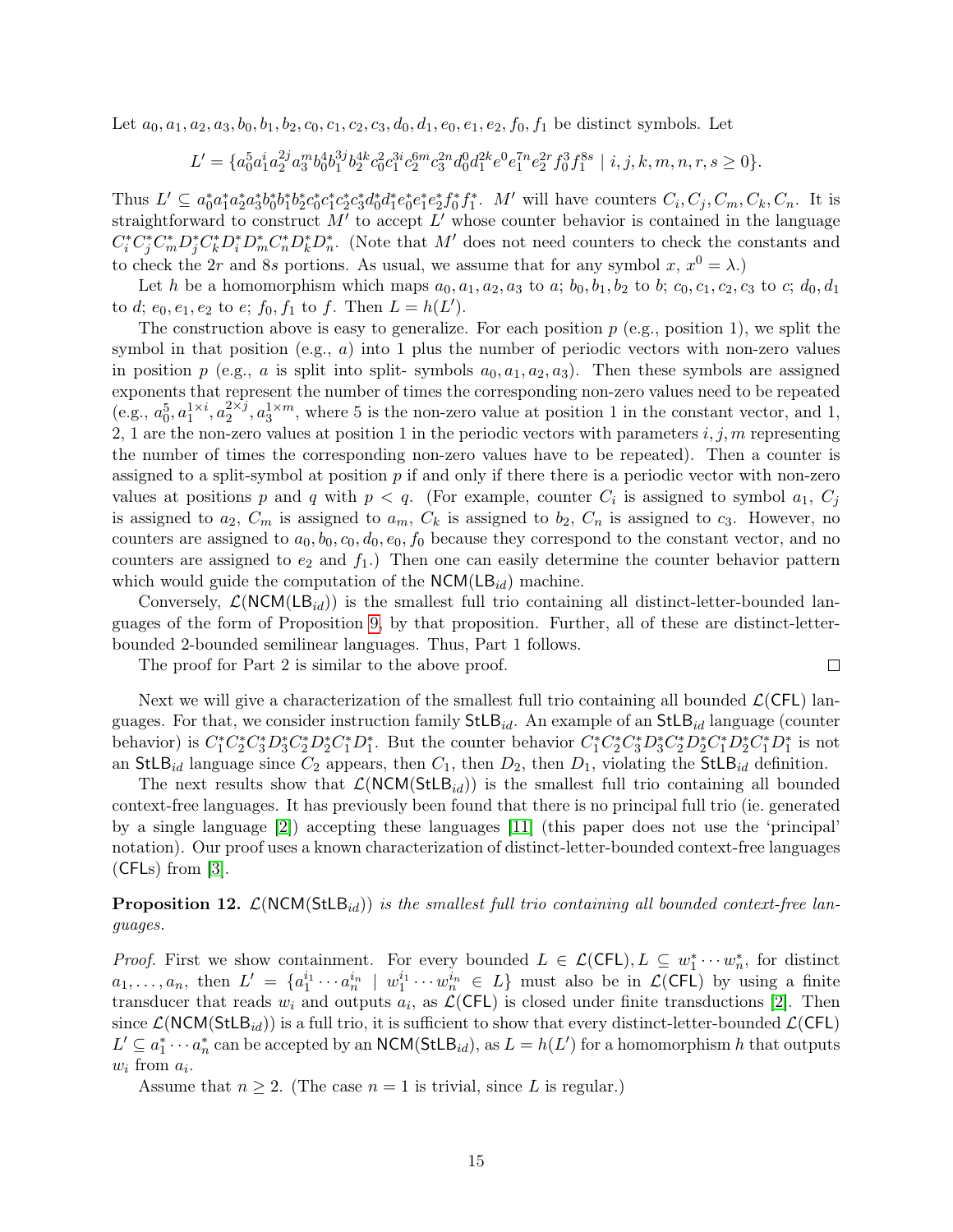Let  $a_0, a_1, a_2, a_3, b_0, b_1, b_2, c_0, c_1, c_2, c_3, d_0, d_1, e_0, e_1, e_2, f_0, f_1$  be distinct symbols. Let

$$
L' = \{a_0^5 a_1^i a_2^{2j} a_3^m b_0^4 b_1^{3j} b_2^{4k} c_0^2 c_1^{3i} c_2^{6m} c_3^{2n} d_0^0 d_1^{2k} e^0 e_1^{7n} e_2^{2r} f_0^3 f_1^{8s} \mid i, j, k, m, n, r, s \ge 0\}.
$$

Thus  $L' \subseteq a_0^* a_1^* a_2^* a_3^* b_0^* b_1^* b_2^* c_0^* c_1^* c_2^* c_3^* d_0^* d_1^* e_0^* e_1^* e_2^* f_0^* f_1^*$ . M' will have counters  $C_i, C_j, C_m, C_k, C_n$ . It is straightforward to construct  $M'$  to accept  $L'$  whose counter behavior is contained in the language  $C_i^* C_j^* C_m^* D_j^* C_k^* D_n^* D_m^* C_n^* D_k^* D_n^*$ . (Note that M' does not need counters to check the constants and to check the 2r and 8s portions. As usual, we assume that for any symbol x,  $x^0 = \lambda$ .)

Let h be a homomorphism which maps  $a_0, a_1, a_2, a_3$  to a;  $b_0, b_1, b_2$  to b;  $c_0, c_1, c_2, c_3$  to c;  $d_0, d_1$ to d;  $e_0, e_1, e_2$  to  $e$ ;  $f_0, f_1$  to  $f$ . Then  $L = h(L')$ .

The construction above is easy to generalize. For each position  $p$  (e.g., position 1), we split the symbol in that position (e.g.,  $a$ ) into 1 plus the number of periodic vectors with non-zero values in position p (e.g., a is split into split- symbols  $a_0, a_1, a_2, a_3$ ). Then these symbols are assigned exponents that represent the number of times the corresponding non-zero values need to be repeated (e.g.,  $a_0^5, a_1^{1 \times i}, a_2^{2 \times j}$  $2 \times j$ ,  $a_3^{1 \times m}$ , where 5 is the non-zero value at position 1 in the constant vector, and 1, 2, 1 are the non-zero values at position 1 in the periodic vectors with parameters  $i, j, m$  representing the number of times the corresponding non-zero values have to be repeated). Then a counter is assigned to a split-symbol at position  $p$  if and only if there there is a periodic vector with non-zero values at positions p and q with  $p < q$ . (For example, counter  $C_i$  is assigned to symbol  $a_1, C_j$ is assigned to  $a_2, C_m$  is assigned to  $a_m, C_k$  is assigned to  $b_2, C_n$  is assigned to  $c_3$ . However, no counters are assigned to  $a_0, b_0, c_0, d_0, e_0, f_0$  because they correspond to the constant vector, and no counters are assigned to  $e_2$  and  $f_1$ .) Then one can easily determine the counter behavior pattern which would guide the computation of the  $NCM(LB_{id})$  machine.

Conversely,  $\mathcal{L}(NCM(LB_{id}))$  is the smallest full trio containing all distinct-letter-bounded languages of the form of Proposition [9,](#page-14-0) by that proposition. Further, all of these are distinct-letterbounded 2-bounded semilinear languages. Thus, Part 1 follows.

 $\Box$ 

The proof for Part 2 is similar to the above proof.

Next we will give a characterization of the smallest full trio containing all bounded  $\mathcal{L}(\mathsf{CFL})$  languages. For that, we consider instruction family  $StLB_{id}$ . An example of an  $StLB_{id}$  language (counter behavior) is  $C_1^* C_2^* C_3^* D_3^* C_2^* D_2^* C_1^* D_1^*$ . But the counter behavior  $C_1^* C_2^* C_3^* D_3^* C_2^* D_2^* C_1^* D_2^* C_1^* D_1^*$  is not an StLB<sub>id</sub> language since  $C_2$  appears, then  $C_1$ , then  $D_2$ , then  $D_1$ , violating the StLB<sub>id</sub> definition.

The next results show that  $\mathcal{L}(NCM(StLB_{id}))$  is the smallest full trio containing all bounded context-free languages. It has previously been found that there is no principal full trio (ie. generated by a single language [\[2\]](#page-22-1)) accepting these languages [\[11\]](#page-23-5) (this paper does not use the 'principal' notation). Our proof uses a known characterization of distinct-letter-bounded context-free languages  $(CFLs)$  from [\[3\]](#page-22-4).

**Proposition 12.**  $\mathcal{L}(NCM(StLB_{id}))$  is the smallest full trio containing all bounded context-free languages.

*Proof.* First we show containment. For every bounded  $L \in \mathcal{L}(CFL)$ ,  $L \subseteq w_1^* \cdots w_n^*$ , for distinct  $a_1,\ldots,a_n$ , then  $L' = \{a_1^{i_1}\cdots a_n^{i_n} \mid w_1^{i_1}\cdots w_n^{i_n} \in L\}$  must also be in  $\mathcal{L}(\mathsf{CFL})$  by using a finite transducer that reads  $w_i$  and outputs  $a_i$ , as  $\mathcal{L}(\mathsf{CFL})$  is closed under finite transductions [\[2\]](#page-22-1). Then since  $\mathcal{L}(NCM(StLB_{id}))$  is a full trio, it is sufficient to show that every distinct-letter-bounded  $\mathcal{L}(CFL)$  $L' \subseteq a_1^* \cdots a_n^*$  can be accepted by an  $NCM(StLB_{id})$ , as  $L = h(L')$  for a homomorphism h that outputs  $w_i$  from  $a_i$ .

Assume that  $n \geq 2$ . (The case  $n = 1$  is trivial, since L is regular.)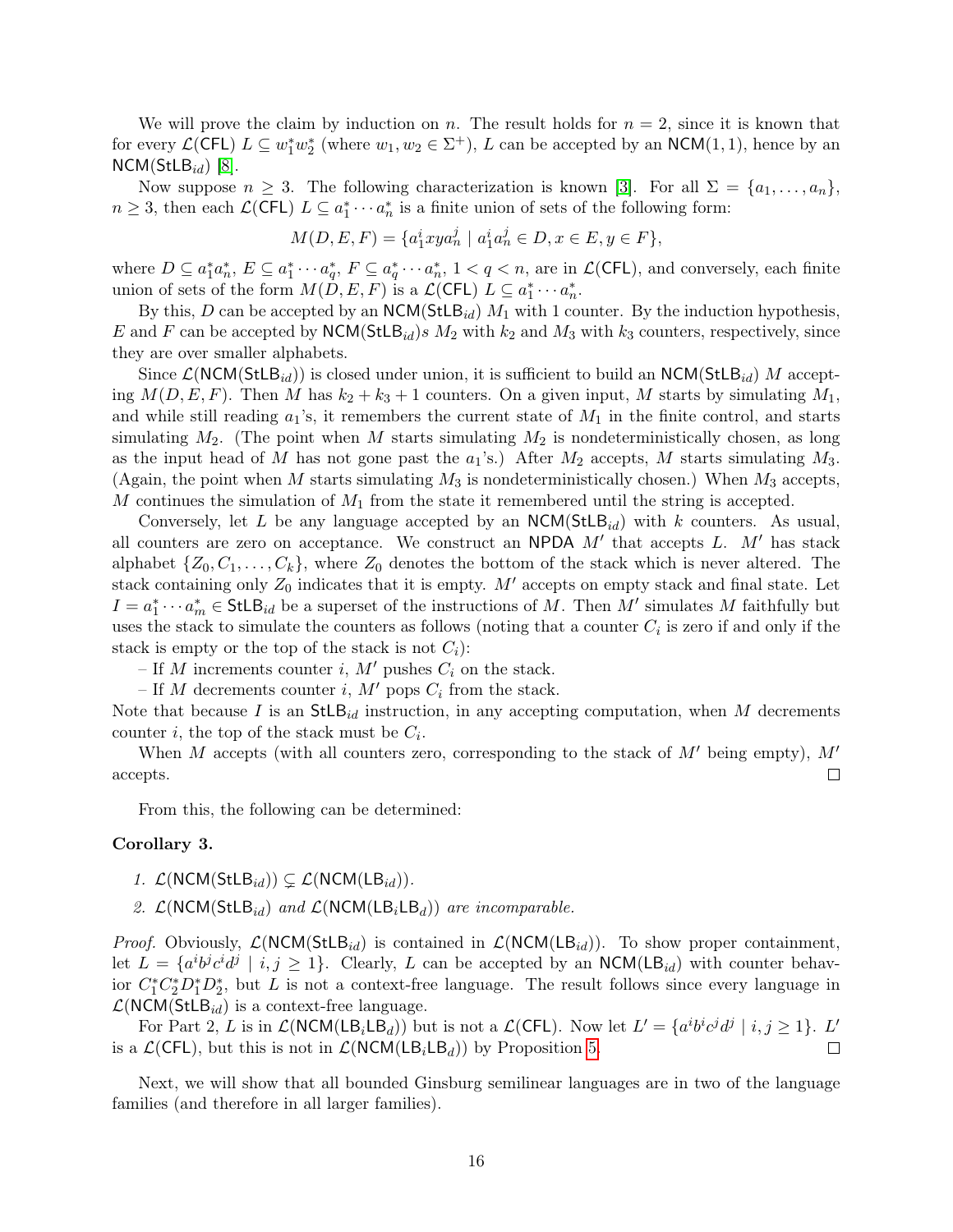We will prove the claim by induction on n. The result holds for  $n = 2$ , since it is known that for every  $\mathcal{L}(\mathsf{CFL})$   $L \subseteq w_1^* w_2^*$  (where  $w_1, w_2 \in \Sigma^+$ ),  $L$  can be accepted by an  $\mathsf{NCM}(1,1)$ , hence by an  $NCM(StLB_{id})$  [\[8\]](#page-23-6).

Now suppose  $n \geq 3$ . The following characterization is known [\[3\]](#page-22-4). For all  $\Sigma = \{a_1, \ldots, a_n\}$ ,  $n \geq 3$ , then each  $\mathcal{L}(\mathsf{CFL})$   $L \subseteq a_1^* \cdots a_n^*$  is a finite union of sets of the following form:

$$
M(D, E, F) = \{a_1^i xy a_n^j \mid a_1^i a_n^j \in D, x \in E, y \in F\},\
$$

where  $D \subseteq a_1^* a_n^*, E \subseteq a_1^* \cdots a_q^*, F \subseteq a_q^* \cdots a_n^*, 1 < q < n$ , are in  $\mathcal{L}(\mathsf{CFL})$ , and conversely, each finite union of sets of the form  $M(D, E, F)$  is a  $\mathcal{L}(\mathsf{CFL})$   $L \subseteq a_1^* \cdots a_n^*$ .

By this, D can be accepted by an  $NCM(StLB_{id})$   $M_1$  with 1 counter. By the induction hypothesis, E and F can be accepted by  $NCM(StLB_{id})s M_2$  with  $k_2$  and  $M_3$  with  $k_3$  counters, respectively, since they are over smaller alphabets.

Since  $\mathcal{L}(NCM(StLB_{id}))$  is closed under union, it is sufficient to build an  $NCM(StLB_{id})$  M accepting  $M(D, E, F)$ . Then M has  $k_2 + k_3 + 1$  counters. On a given input, M starts by simulating  $M_1$ , and while still reading  $a_1$ 's, it remembers the current state of  $M_1$  in the finite control, and starts simulating  $M_2$ . (The point when M starts simulating  $M_2$  is nondeterministically chosen, as long as the input head of M has not gone past the  $a_1$ 's.) After  $M_2$  accepts, M starts simulating  $M_3$ . (Again, the point when M starts simulating  $M_3$  is nondeterministically chosen.) When  $M_3$  accepts, M continues the simulation of  $M_1$  from the state it remembered until the string is accepted.

Conversely, let L be any language accepted by an  $NCM(StLB_{id})$  with k counters. As usual, all counters are zero on acceptance. We construct an NPDA  $M'$  that accepts L.  $M'$  has stack alphabet  $\{Z_0, C_1, \ldots, C_k\}$ , where  $Z_0$  denotes the bottom of the stack which is never altered. The stack containing only  $Z_0$  indicates that it is empty. M' accepts on empty stack and final state. Let  $I = a_1^* \cdots a_m^* \in \mathsf{StLB}_{id}$  be a superset of the instructions of M. Then M' simulates M faithfully but uses the stack to simulate the counters as follows (noting that a counter  $C_i$  is zero if and only if the stack is empty or the top of the stack is not  $C_i$ :

– If M increments counter i, M' pushes  $C_i$  on the stack.

– If M decrements counter i, M' pops  $C_i$  from the stack.

Note that because I is an  $StLB_{id}$  instruction, in any accepting computation, when M decrements counter *i*, the top of the stack must be  $C_i$ .

When M accepts (with all counters zero, corresponding to the stack of  $M'$  being empty),  $M'$ accepts.  $\Box$ 

From this, the following can be determined:

#### Corollary 3.

- 1.  $\mathcal{L}(\textsf{NCM}(\textsf{StLB}_{id})) \subsetneq \mathcal{L}(\textsf{NCM}(\textsf{LB}_{id})).$
- 2.  $\mathcal{L}(\text{NCM}(\text{StLB}_{id})$  and  $\mathcal{L}(\text{NCM}(\text{LB}_{i}\text{LB}_{d}))$  are incomparable.

*Proof.* Obviously,  $\mathcal{L}(NCM(StLB_{id}))$  is contained in  $\mathcal{L}(NCM(LB_{id}))$ . To show proper containment, let  $L = \{a^i b^j c^i d^j \mid i, j \geq 1\}$ . Clearly, L can be accepted by an NCM(LB<sub>id</sub>) with counter behavior  $C_1^* C_2^* D_1^* D_2^*$ , but L is not a context-free language. The result follows since every language in  $\mathcal{L}(\text{NCM}(\text{StLB}_{id})$  is a context-free language.

For Part 2, L is in  $\mathcal{L}(\text{NCM}(\text{LB}_i \text{LB}_d))$  but is not a  $\mathcal{L}(\text{CFL})$ . Now let  $L' = \{a^i b^i c^j d^j \mid i, j \geq 1\}$ . L' is a  $\mathcal{L}(CFL)$ , but this is not in  $\mathcal{L}(NCM(LB<sub>i</sub>LB<sub>d</sub>))$  by Proposition [5.](#page-12-0)  $\Box$ 

Next, we will show that all bounded Ginsburg semilinear languages are in two of the language families (and therefore in all larger families).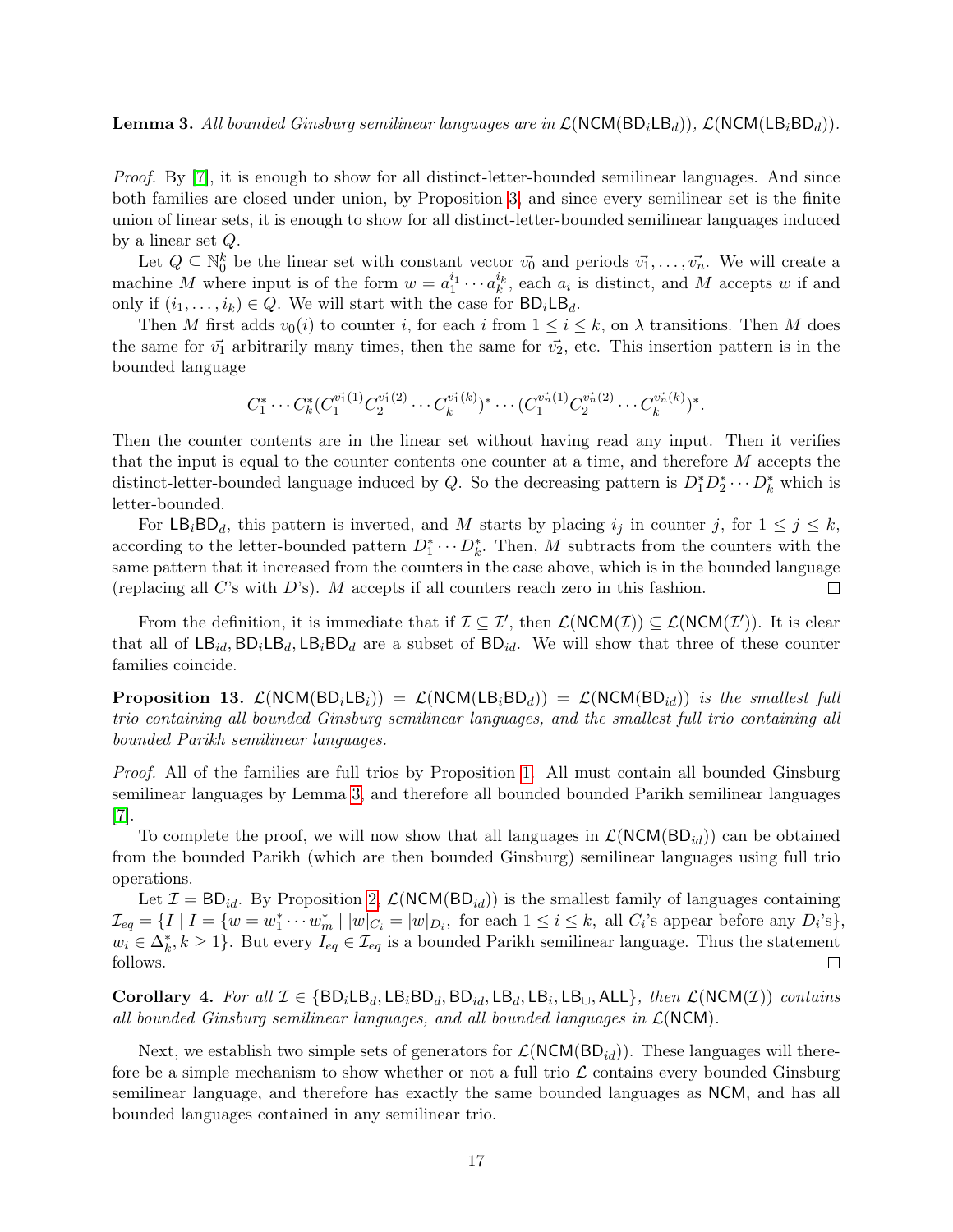<span id="page-17-0"></span>**Lemma 3.** All bounded Ginsburg semilinear languages are in  $\mathcal{L}(NCM(BD_iLB_d)), \mathcal{L}(NCM(LB_iBD_d))$ .

Proof. By [\[7\]](#page-23-2), it is enough to show for all distinct-letter-bounded semilinear languages. And since both families are closed under union, by Proposition [3,](#page-6-0) and since every semilinear set is the finite union of linear sets, it is enough to show for all distinct-letter-bounded semilinear languages induced by a linear set Q.

Let  $Q \subseteq \mathbb{N}_0^k$  be the linear set with constant vector  $\vec{v_0}$  and periods  $\vec{v_1}, \ldots, \vec{v_n}$ . We will create a machine M where input is of the form  $w = a_1^{i_1} \cdots a_k^{i_k}$ , each  $a_i$  is distinct, and M accepts w if and only if  $(i_1, \ldots, i_k) \in Q$ . We will start with the case for  $BD_iLB_d$ .

Then M first adds  $v_0(i)$  to counter i, for each i from  $1 \le i \le k$ , on  $\lambda$  transitions. Then M does the same for  $\vec{v_1}$  arbitrarily many times, then the same for  $\vec{v_2}$ , etc. This insertion pattern is in the bounded language

$$
C_1^* \cdots C_k^* (C_1^{\vec{v_1}(1)} C_2^{\vec{v_1}(2)} \cdots C_k^{\vec{v_1}(k)})^* \cdots (C_1^{\vec{v_n}(1)} C_2^{\vec{v_n}(2)} \cdots C_k^{\vec{v_n}(k)})^*.
$$

Then the counter contents are in the linear set without having read any input. Then it verifies that the input is equal to the counter contents one counter at a time, and therefore M accepts the distinct-letter-bounded language induced by Q. So the decreasing pattern is  $D_1^*D_2^* \cdots D_k^*$  which is letter-bounded.

For  $\textsf{LB}_i\textsf{BD}_d$ , this pattern is inverted, and M starts by placing  $i_j$  in counter j, for  $1 \leq j \leq k$ , according to the letter-bounded pattern  $D_1^* \cdots D_k^*$ . Then, M subtracts from the counters with the same pattern that it increased from the counters in the case above, which is in the bounded language (replacing all  $C$ 's with  $D$ 's). M accepts if all counters reach zero in this fashion.  $\Box$ 

From the definition, it is immediate that if  $\mathcal{I} \subseteq \mathcal{I}'$ , then  $\mathcal{L}(\text{NCM}(\mathcal{I})) \subseteq \mathcal{L}(\text{NCM}(\mathcal{I}'))$ . It is clear that all of  $LB_{id}$ ,  $BD_{i}LB_{i}BD_{d}$  are a subset of  $BD_{id}$ . We will show that three of these counter families coincide.

<span id="page-17-1"></span>**Proposition 13.**  $\mathcal{L}(NCM(BD_iLB_i)) = \mathcal{L}(NCM(LB_iBD_d)) = \mathcal{L}(NCM(BD_{id}))$  is the smallest full trio containing all bounded Ginsburg semilinear languages, and the smallest full trio containing all bounded Parikh semilinear languages.

Proof. All of the families are full trios by Proposition [1.](#page-4-0) All must contain all bounded Ginsburg semilinear languages by Lemma [3,](#page-17-0) and therefore all bounded bounded Parikh semilinear languages [\[7\]](#page-23-2).

To complete the proof, we will now show that all languages in  $\mathcal{L}(NCM(BD_{id}))$  can be obtained from the bounded Parikh (which are then bounded Ginsburg) semilinear languages using full trio operations.

Let  $\mathcal{I} = BD_{id}$ . By Proposition [2,](#page-4-1)  $\mathcal{L}(NCM(BD_{id}))$  is the smallest family of languages containing  $\mathcal{I}_{eq} = \{I \mid I = \{w = w_1^* \cdots w_m^* \mid |w|_{C_i} = |w|_{D_i}, \text{ for each } 1 \le i \le k, \text{ all } C_i\text{'s appear before any } D_i\text{'s}\},\$  $w_i \in \Delta_k^*, k \geq 1$ . But every  $I_{eq} \in \mathcal{I}_{eq}$  is a bounded Parikh semilinear language. Thus the statement follows.  $\Box$ 

Corollary 4. For all  $\mathcal{I} \in \{BD_iLB_d, LB_iBD_d, BD_{id}, LB_i, LB_i, LB_\cup, ALL\}$ , then  $\mathcal{L}(NCM(\mathcal{I}))$  contains all bounded Ginsburg semilinear languages, and all bounded languages in  $\mathcal{L}(NCM)$ .

Next, we establish two simple sets of generators for  $\mathcal{L}(NCM(BD<sub>id</sub>))$ . These languages will therefore be a simple mechanism to show whether or not a full trio  $\mathcal L$  contains every bounded Ginsburg semilinear language, and therefore has exactly the same bounded languages as NCM, and has all bounded languages contained in any semilinear trio.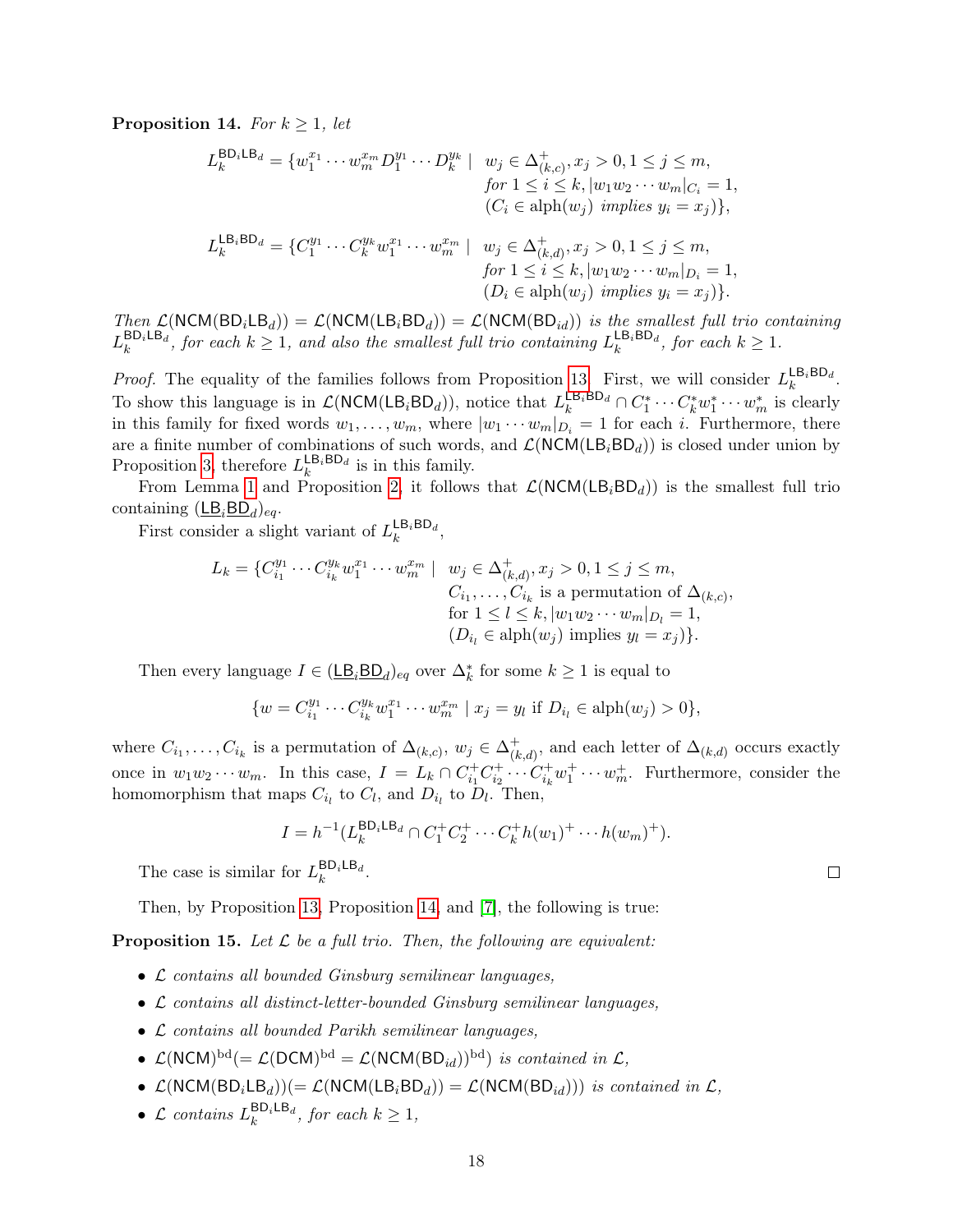<span id="page-18-0"></span>**Proposition 14.** For  $k \geq 1$ , let

$$
L_k^{\text{BD}_i \text{LB}_d} = \{w_1^{x_1} \cdots w_m^{x_m} D_1^{y_1} \cdots D_k^{y_k} \mid w_j \in \Delta_{(k,c)}^+, x_j > 0, 1 \le j \le m, \nfor 1 \le i \le k, |w_1 w_2 \cdots w_m|_{C_i} = 1, \n(C_i \in \text{alph}(w_j) \text{ implies } y_i = x_j)\}, \nL_k^{\text{LB}_i \text{BD}_d} = \{C_1^{y_1} \cdots C_k^{y_k} w_1^{x_1} \cdots w_m^{x_m} \mid w_j \in \Delta_{(k,d)}^+, x_j > 0, 1 \le j \le m, \nfor 1 \le i \le k, |w_1 w_2 \cdots w_m|_{D_i} = 1, \n(D_i \in \text{alph}(w_j) \text{ implies } y_i = x_j)\}.
$$

Then  $\mathcal{L}(NCM(BD_iLB_d)) = \mathcal{L}(NCM(LB_iBD_d)) = \mathcal{L}(NCM(BD_{id}))$  is the smallest full trio containing  $L_k^{\text{BD}_i \text{LB}_d}$ , for each  $k \geq 1$ , and also the smallest full trio containing  $L_k^{\text{LB}_i \text{BD}_d}$ , for each  $k \geq 1$ .

*Proof.* The equality of the families follows from Proposition [13.](#page-17-1) First, we will consider  $L_k^{\mathsf{LB}_i\mathsf{BD}_d}$ . To show this language is in  $\mathcal{L}(\text{NCM}(\text{LB}_i \text{BD}_d))$ , notice that  $L_k^{\text{LB}_i \text{BD}_d} \cap C_1^* \cdots C_k^* w_1^* \cdots w_m^*$  is clearly in this family for fixed words  $w_1, \ldots, w_m$ , where  $|w_1 \cdots w_m|_{D_i} = 1$  for each i. Furthermore, there are a finite number of combinations of such words, and  $\mathcal{L}(NCM(LB<sub>i</sub>BD<sub>d</sub>))$  is closed under union by Proposition [3,](#page-6-0) therefore  $L_k^{\mathsf{LB}_i\mathsf{BD}_d}$  is in this family.

From Lemma [1](#page-7-3) and Proposition [2,](#page-4-1) it follows that  $\mathcal{L}(NCM(LB<sub>i</sub>BD<sub>d</sub>))$  is the smallest full trio containing  $(\underline{\mathsf{LB}}_i\underline{\mathsf{BD}}_d)_{eq}$ .

First consider a slight variant of  $L_k^{\mathsf{LB}_i\mathsf{BD}_d}$ ,

$$
L_k = \{C_{i_1}^{y_1} \cdots C_{i_k}^{y_k} w_1^{x_1} \cdots w_m^{x_m} \mid w_j \in \Delta_{(k,d)}^+, x_j > 0, 1 \le j \le m, C_{i_1}, \ldots, C_{i_k} \text{ is a permutation of } \Delta_{(k,c)}, \text{for } 1 \le l \le k, |w_1 w_2 \cdots w_m|_{D_l} = 1, (D_{i_l} \in \text{alph}(w_j) \text{ implies } y_l = x_j)\}.
$$

Then every language  $I \in (\underline{\mathsf{LB}}_i \underline{\mathsf{BD}}_d)_{eq}$  over  $\Delta_k^*$  for some  $k \geq 1$  is equal to

$$
\{w = C_{i_1}^{y_1} \cdots C_{i_k}^{y_k} w_1^{x_1} \cdots w_m^{x_m} \mid x_j = y_l \text{ if } D_{i_l} \in \text{alph}(w_j) > 0\},\
$$

where  $C_{i_1}, \ldots, C_{i_k}$  is a permutation of  $\Delta_{(k,c)}, w_j \in \Delta_{(k)}^+$  $\chi^+_{(k,d)}$ , and each letter of  $\Delta_{(k,d)}$  occurs exactly once in  $w_1w_2\cdots w_m$ . In this case,  $I = L_k \cap C_{i_1}^+ C_{i_2}^+ \cdots C_{i_k}^+ w_1^+ \cdots w_m^+$ . Furthermore, consider the homomorphism that maps  $C_{i_l}$  to  $C_l$ , and  $D_{i_l}$  to  $D_l$ . Then,

$$
I = h^{-1}(L_k^{\mathsf{BD}_i \mathsf{LB}_d} \cap C_1^+ C_2^+ \cdots C_k^+ h(w_1)^+ \cdots h(w_m)^+).
$$

The case is similar for  $L_k^{\text{BD}_i \text{LB}_d}$ .

Then, by Proposition [13,](#page-17-1) Proposition [14,](#page-18-0) and [\[7\]](#page-23-2), the following is true:

<span id="page-18-1"></span>**Proposition 15.** Let  $\mathcal{L}$  be a full trio. Then, the following are equivalent:

- L contains all bounded Ginsburg semilinear languages,
- L contains all distinct-letter-bounded Ginsburg semilinear languages,
- L contains all bounded Parikh semilinear languages,
- $\mathcal{L}(NCM)^{bd} (= \mathcal{L}(DCM)^{bd} = \mathcal{L}(NCM(BD_{id}))^{bd})$  is contained in  $\mathcal{L},$
- $\mathcal{L}(NCM(BD_iLB_d)) = \mathcal{L}(NCM(LB_iBD_d)) = \mathcal{L}(NCM(BD_{id})))$  is contained in  $\mathcal{L}$ ,
- $\mathcal{L}$  contains  $L_k^{\text{BD}_i \text{LB}_d}$ , for each  $k \geq 1$ ,

 $\Box$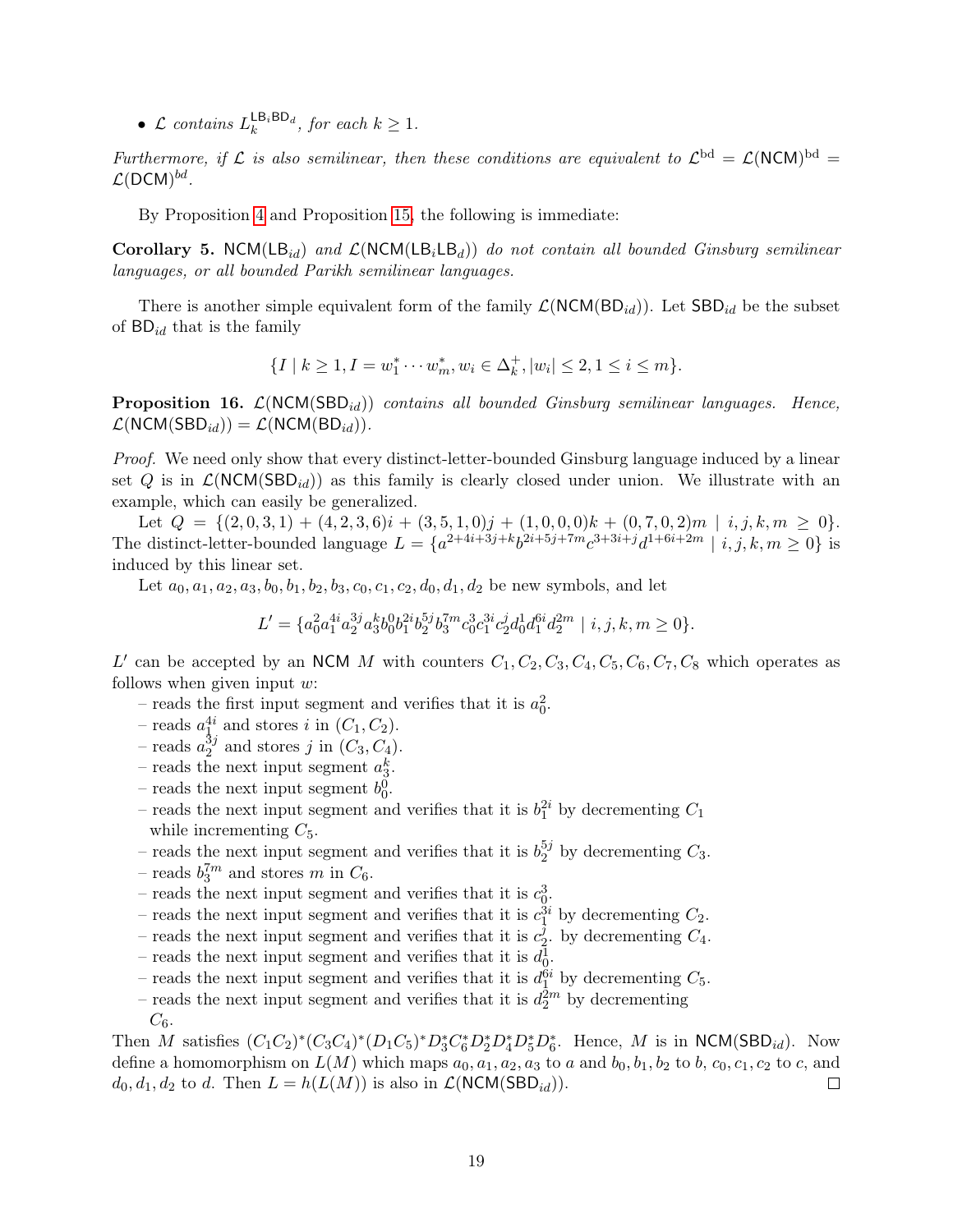•  $\mathcal{L}$  contains  $L_k^{\text{LB}_i\text{BD}_d}$ , for each  $k \geq 1$ .

Furthermore, if L is also semilinear, then these conditions are equivalent to  $\mathcal{L}^{bd} = \mathcal{L}(NCM)^{bd} =$  $\mathcal{L}(\mathsf{DCM})^{bd}$ .

By Proposition [4](#page-11-0) and Proposition [15,](#page-18-1) the following is immediate:

Corollary 5. NCM(LB<sub>id</sub>) and  $\mathcal{L}(NCM(LB_iLB_d))$  do not contain all bounded Ginsburg semilinear languages, or all bounded Parikh semilinear languages.

There is another simple equivalent form of the family  $\mathcal{L}(NCM(BD_{id}))$ . Let  $SBD_{id}$  be the subset of  $BD_{id}$  that is the family

$$
\{I \mid k \ge 1, I = w_1^* \cdots w_m^*, w_i \in \Delta_k^+, |w_i| \le 2, 1 \le i \le m\}.
$$

**Proposition 16.**  $\mathcal{L}(NCM(SBD_{id}))$  contains all bounded Ginsburg semilinear languages. Hence,  $\mathcal{L}(NCM(SBD_{id})) = \mathcal{L}(NCM(BD_{id})).$ 

Proof. We need only show that every distinct-letter-bounded Ginsburg language induced by a linear set Q is in  $\mathcal{L}(NCM(SBD_{id}))$  as this family is clearly closed under union. We illustrate with an example, which can easily be generalized.

Let  $Q = \{(2, 0, 3, 1) + (4, 2, 3, 6)i + (3, 5, 1, 0)j + (1, 0, 0, 0)k + (0, 7, 0, 2)m \mid i, j, k, m \ge 0\}.$ The distinct-letter-bounded language  $L = \{a^{2+4i+3j+k}b^{2i+5j+7m}c^{3+3i+j}d^{1+6i+2m} \mid i, j, k, m \ge 0\}$  is induced by this linear set.

Let  $a_0, a_1, a_2, a_3, b_0, b_1, b_2, b_3, c_0, c_1, c_2, d_0, d_1, d_2$  be new symbols, and let

$$
L' = \{a_0^2 a_1^{4i} a_2^{3j} a_3^k b_0^0 b_1^{2i} b_2^{5j} b_3^{7m} c_0^3 c_1^{3i} c_2^j d_0^1 d_1^{6i} d_2^{2m} \mid i, j, k, m \ge 0\}.
$$

L' can be accepted by an NCM M with counters  $C_1, C_2, C_3, C_4, C_5, C_6, C_7, C_8$  which operates as follows when given input  $w$ :

- reads the first input segment and verifies that it is  $a_0^2$ .
- reads  $a_1^{4i}$  and stores i in  $(C_1, C_2)$ .
- reads  $a_2^{\bar{3}j}$  $_2^{3j}$  and stores j in  $(C_3, C_4)$ .
- reads the next input segment  $a_3^k$ .
- reads the next input segment  $b_0^0$ .
- reads the next input segment and verifies that it is  $b_1^{2i}$  by decrementing  $C_1$ while incrementing  $C_5$ .
- reads the next input segment and verifies that it is  $b_2^{5j}$  $C_2^{9}$  by decrementing  $C_3$ .
- reads  $b_3^{7m}$  and stores m in  $C_6$ .
- reads the next input segment and verifies that it is  $c_0^3$ .
- reads the next input segment and verifies that it is  $c_1^{3i}$  by decrementing  $C_2$ .
- reads the next input segment and verifies that it is  $c_2^j$  $2^{\circ}$ . by decrementing  $C_4$ .
- reads the next input segment and verifies that it is  $d_0^1$ .
- reads the next input segment and verifies that it is  $d_1^{\hat{6}i}$  by decrementing  $C_5$ .
- reads the next input segment and verifies that it is  $d_2^{2m}$  by decrementing
- $C_6$ .

Then M satisfies  $(C_1C_2)^*(C_3C_4)^*(D_1C_5)^*D_3^*C_6^*D_2^*D_4^*D_5^*D_6^*$ . Hence, M is in NCM(SBD<sub>id</sub>). Now define a homomorphism on  $L(M)$  which maps  $a_0, a_1, a_2, a_3$  to a and  $b_0, b_1, b_2$  to b,  $c_0, c_1, c_2$  to c, and  $d_0, d_1, d_2$  to d. Then  $L = h(L(M))$  is also in  $\mathcal{L}(\text{NCM}(\text{SBD}_{id}))$ .  $\Box$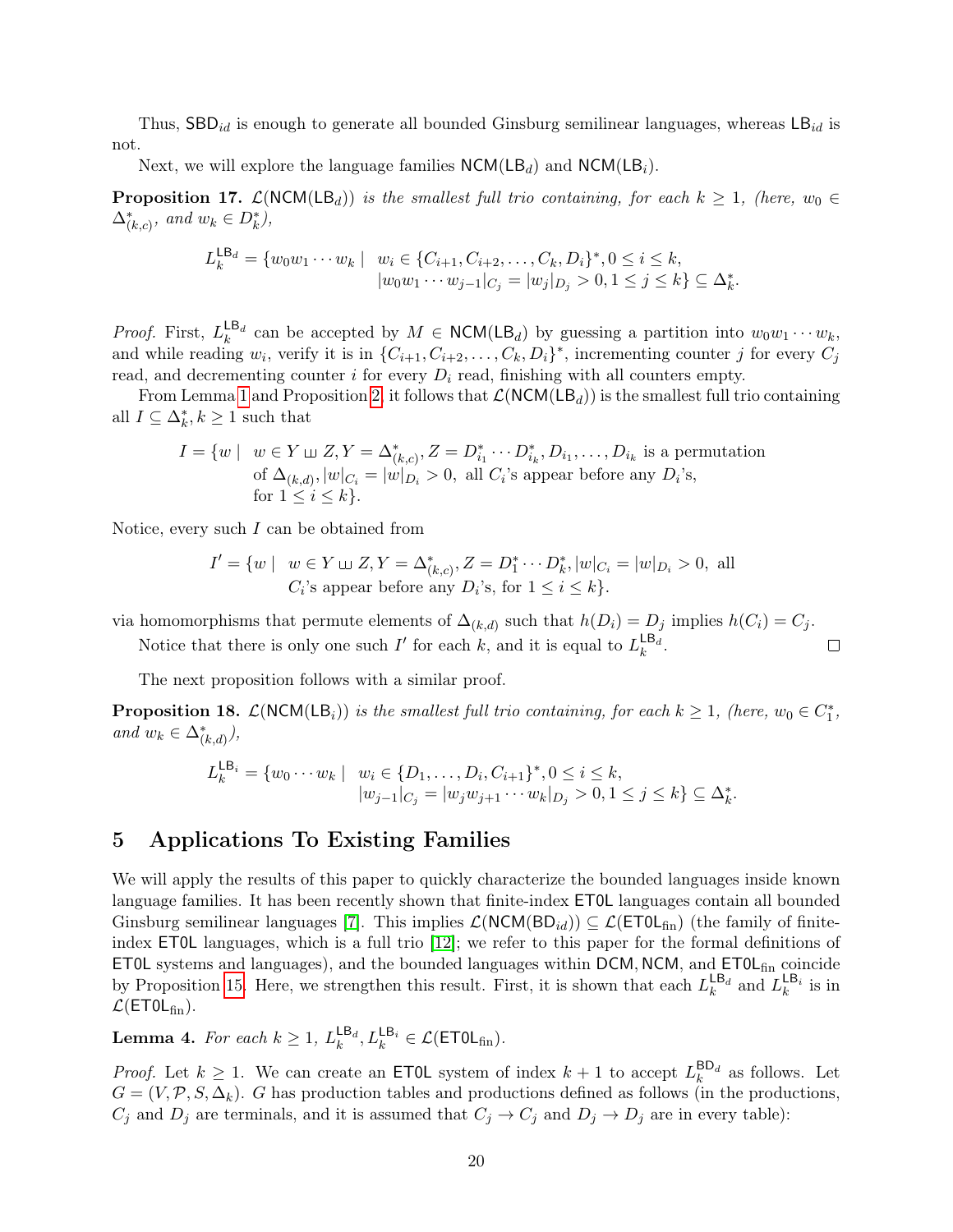Thus,  $\text{SBD}_{id}$  is enough to generate all bounded Ginsburg semilinear languages, whereas  $\text{LB}_{id}$  is not.

Next, we will explore the language families  $NCM(LB_d)$  and  $NCM(LB_i)$ .

<span id="page-20-0"></span>**Proposition 17.**  $\mathcal{L}(NCM(LB_d))$  is the smallest full trio containing, for each  $k \geq 1$ , (here,  $w_0 \in$  $\Delta_{(k,c)}^*$ , and  $w_k \in D_k^*$ ),

$$
L_k^{\mathsf{LB}_d} = \{ w_0 w_1 \cdots w_k \mid w_i \in \{C_{i+1}, C_{i+2}, \ldots, C_k, D_i\}^*, 0 \le i \le k, |w_0 w_1 \cdots w_{j-1}|_{C_j} = |w_j|_{D_j} > 0, 1 \le j \le k \} \subseteq \Delta_k^*.
$$

*Proof.* First,  $L_k^{\mathsf{LB}_d}$  can be accepted by  $M \in \mathsf{NCM}(\mathsf{LB}_d)$  by guessing a partition into  $w_0w_1\cdots w_k$ , and while reading  $w_i$ , verify it is in  $\{C_{i+1}, C_{i+2}, \ldots, C_k, D_i\}^*$ , incrementing counter j for every  $C_j$ read, and decrementing counter i for every  $D_i$  read, finishing with all counters empty.

From Lemma [1](#page-7-3) and Proposition [2,](#page-4-1) it follows that  $\mathcal{L}(NCM(LB<sub>d</sub>))$  is the smallest full trio containing all  $I \subseteq \Delta_k^*, k \geq 1$  such that

$$
I = \{w \mid w \in Y \sqcup Z, Y = \Delta_{(k,c)}^*, Z = D_{i_1}^* \cdots D_{i_k}^*, D_{i_1}, \ldots, D_{i_k} \text{ is a permutation of } \Delta_{(k,d)}, |w|_{C_i} = |w|_{D_i} > 0, \text{ all } C_i \text{'s appear before any } D_i \text{'s, for } 1 \leq i \leq k \}.
$$

Notice, every such I can be obtained from

$$
I' = \{ w \mid w \in Y \sqcup Z, Y = \Delta_{(k,c)}^*, Z = D_1^* \cdots D_k^*, |w|_{C_i} = |w|_{D_i} > 0, \text{ all } C_i \text{'s appear before any } D_i \text{'s, for } 1 \le i \le k \}.
$$

via homomorphisms that permute elements of  $\Delta_{(k,d)}$  such that  $h(D_i) = D_j$  implies  $h(C_i) = C_j$ .

 $\Box$ 

Notice that there is only one such  $I'$  for each k, and it is equal to  $L_k^{\mathsf{LB}_d}$ .

The next proposition follows with a similar proof.

**Proposition 18.**  $\mathcal{L}(NCM(LB_i))$  is the smallest full trio containing, for each  $k \geq 1$ , (here,  $w_0 \in C_1^*$ , and  $w_k \in \Delta^*_{(k,d)}$ ),

$$
L_k^{\mathsf{LB}_i} = \{w_0 \cdots w_k \mid w_i \in \{D_1, \ldots, D_i, C_{i+1}\}^*, 0 \le i \le k, |w_{j-1}|_{C_j} = |w_j w_{j+1} \cdots w_k|_{D_j} > 0, 1 \le j \le k\} \subseteq \Delta_k^*.
$$

#### 5 Applications To Existing Families

We will apply the results of this paper to quickly characterize the bounded languages inside known language families. It has been recently shown that finite-index ET0L languages contain all bounded Ginsburg semilinear languages [\[7\]](#page-23-2). This implies  $\mathcal{L}(NCM(BD_{id})) \subseteq \mathcal{L}(ETOL<sub>fin</sub>)$  (the family of finiteindex ET0L languages, which is a full trio [\[12\]](#page-23-3); we refer to this paper for the formal definitions of **ET0L** systems and languages), and the bounded languages within DCM, NCM, and  $ET0L<sub>fin</sub>$  coincide by Proposition [15.](#page-18-1) Here, we strengthen this result. First, it is shown that each  $L_k^{\text{LB}_d}$  and  $L_k^{\text{LB}_i}$  is in  $\mathcal{L}$ (ET0L<sub>fin</sub>).

<span id="page-20-1"></span>**Lemma 4.** For each  $k \geq 1$ ,  $L_k^{\mathsf{LB}_d}, L_k^{\mathsf{LB}_i} \in \mathcal{L}(\mathsf{ETOL}_{\text{fin}}).$ 

*Proof.* Let  $k \geq 1$ . We can create an **ETOL** system of index  $k + 1$  to accept  $L_k^{\text{BD}_d}$  as follows. Let  $G = (V, \mathcal{P}, S, \Delta_k)$ . G has production tables and productions defined as follows (in the productions,  $C_j$  and  $D_j$  are terminals, and it is assumed that  $C_j \to C_j$  and  $D_j \to D_j$  are in every table):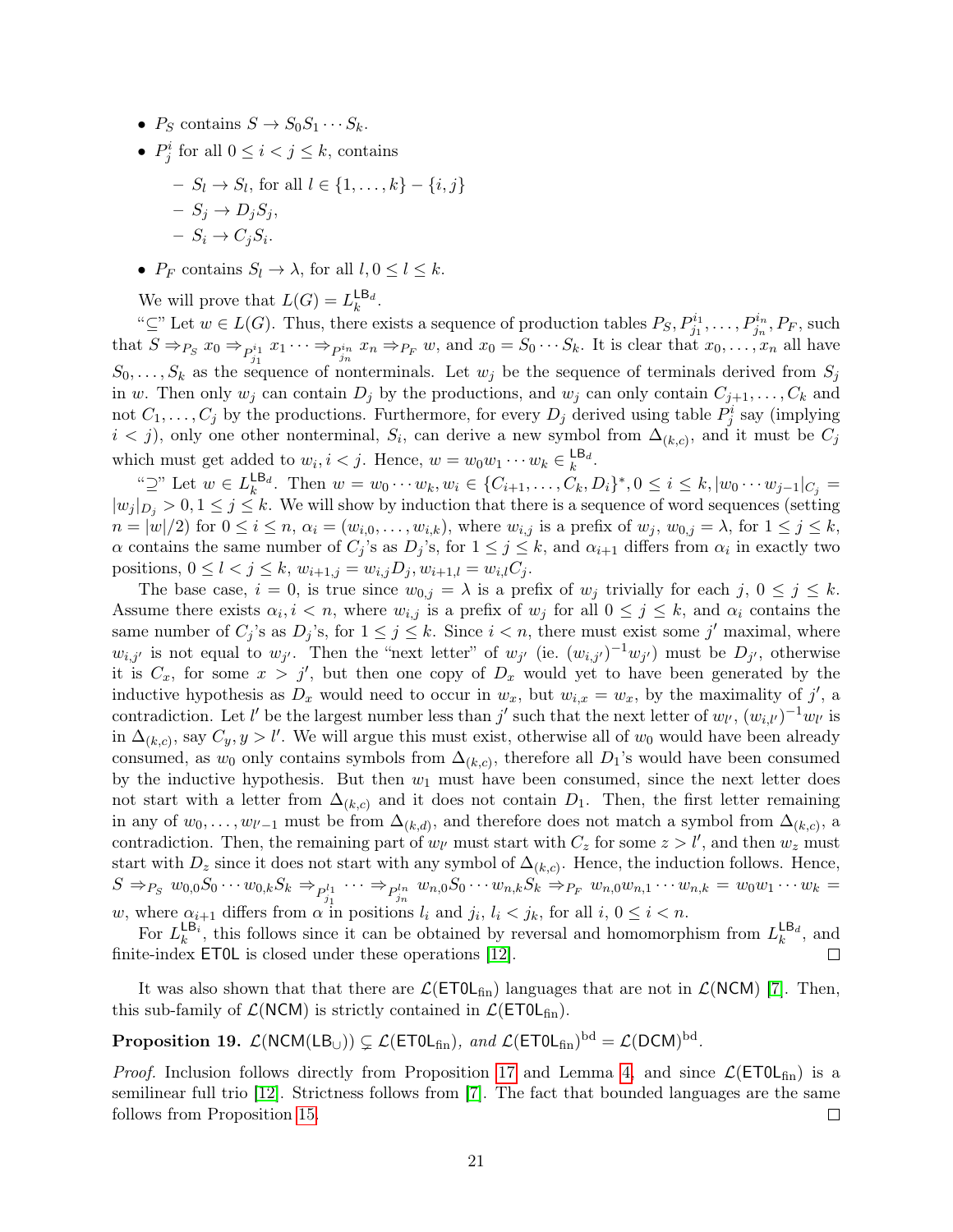- $P_S$  contains  $S \to S_0S_1 \cdots S_k$ .
- $P_j^i$  for all  $0 \leq i < j \leq k$ , contains

$$
- S_l \to S_l, \text{ for all } l \in \{1, ..., k\} - \{i, j\}
$$

$$
- S_j \to D_j S_j,
$$

$$
- S_i \to C_j S_i.
$$

•  $P_F$  contains  $S_l \to \lambda$ , for all  $l, 0 \leq l \leq k$ .

We will prove that  $L(G) = L_k^{\mathsf{LB}_d}$ .

" $\subseteq$ " Let  $w \in L(G)$ . Thus, there exists a sequence of production tables  $P_S, P_{j_1}^{i_1}, \ldots, P_{j_n}^{i_n}, P_F$ , such that  $S \Rightarrow_{P_S} x_0 \Rightarrow_{P_{j_1}^{i_1}} x_1 \cdots \Rightarrow_{P_{j_n}^{i_n}} x_n \Rightarrow_{P_F} w$ , and  $x_0 = S_0 \cdots S_k$ . It is clear that  $x_0, \ldots, x_n$  all have  $S_0, \ldots, S_k$  as the sequence of nonterminals. Let  $w_j$  be the sequence of terminals derived from  $S_j$ in w. Then only  $w_j$  can contain  $D_j$  by the productions, and  $w_j$  can only contain  $C_{j+1}, \ldots, C_k$  and not  $C_1, \ldots, C_j$  by the productions. Furthermore, for every  $D_j$  derived using table  $P_j^i$  say (implying  $i < j$ , only one other nonterminal,  $S_i$ , can derive a new symbol from  $\Delta_{(k,c)}$ , and it must be  $C_j$ which must get added to  $w_i, i < j$ . Hence,  $w = w_0 w_1 \cdots w_k \in \mathsf{L}^{\mathsf{B}_d}$ .

" $\supseteq$ " Let  $w \in L_k^{\mathsf{LB}_d}$ . Then  $w = w_0 \cdots w_k, w_i \in \{C_{i+1}, \ldots, C_k, D_i\}^*, 0 \leq i \leq k, |w_0 \cdots w_{j-1}|_{C_j}$  $|w_j|_{D_i} > 0, 1 \le j \le k$ . We will show by induction that there is a sequence of word sequences (setting  $n = |w|/2$  for  $0 \le i \le n$ ,  $\alpha_i = (w_{i,0}, \ldots, w_{i,k})$ , where  $w_{i,j}$  is a prefix of  $w_j$ ,  $w_{0,j} = \lambda$ , for  $1 \le j \le k$ ,  $\alpha$  contains the same number of  $C_j$ 's as  $D_j$ 's, for  $1 \leq j \leq k$ , and  $\alpha_{i+1}$  differs from  $\alpha_i$  in exactly two positions,  $0 \leq l < j \leq k$ ,  $w_{i+1,j} = w_{i,j}D_j$ ,  $w_{i+1,l} = w_{i,l}C_j$ .

The base case,  $i = 0$ , is true since  $w_{0,j} = \lambda$  is a prefix of  $w_j$  trivially for each  $j, 0 \le j \le k$ . Assume there exists  $\alpha_i, i \leq n$ , where  $w_{i,j}$  is a prefix of  $w_j$  for all  $0 \leq j \leq k$ , and  $\alpha_i$  contains the same number of  $C_j$ 's as  $D_j$ 's, for  $1 \leq j \leq k$ . Since  $i < n$ , there must exist some j' maximal, where  $w_{i,j'}$  is not equal to  $w_{j'}$ . Then the "next letter" of  $w_{j'}$  (ie.  $(w_{i,j'})^{-1}w_{j'}$ ) must be  $D_{j'}$ , otherwise it is  $C_x$ , for some  $x > j'$ , but then one copy of  $D_x$  would yet to have been generated by the inductive hypothesis as  $D_x$  would need to occur in  $w_x$ , but  $w_{i,x} = w_x$ , by the maximality of j', a contradiction. Let l' be the largest number less than j' such that the next letter of  $w_{l'}$ ,  $(w_{i,l'})^{-1}w_{l'}$  is in  $\Delta_{(k,c)}$ , say  $C_y, y > l'$ . We will argue this must exist, otherwise all of  $w_0$  would have been already consumed, as  $w_0$  only contains symbols from  $\Delta_{(k,c)}$ , therefore all  $D_1$ 's would have been consumed by the inductive hypothesis. But then  $w_1$  must have been consumed, since the next letter does not start with a letter from  $\Delta_{(k,c)}$  and it does not contain  $D_1$ . Then, the first letter remaining in any of  $w_0, \ldots, w_{l'-1}$  must be from  $\Delta_{(k,d)}$ , and therefore does not match a symbol from  $\Delta_{(k,c)}$ , a contradiction. Then, the remaining part of  $w_{l'}$  must start with  $C_z$  for some  $z > l'$ , and then  $w_z$  must start with  $D_z$  since it does not start with any symbol of  $\Delta_{(k,c)}$ . Hence, the induction follows. Hence,  $S \Rightarrow_{P_S} w_{0,0} S_0 \cdots w_{0,k} S_k \Rightarrow_{P_{j_1}^{l_1}} \cdots \Rightarrow_{P_{j_n}^{l_n}} w_{n,0} S_0 \cdots w_{n,k} S_k \Rightarrow_{P_F} w_{n,0} w_{n,1} \cdots w_{n,k} = w_0 w_1 \cdots w_k =$ w, where  $\alpha_{i+1}$  differs from  $\alpha$  in positions  $l_i$  and  $j_i$ ,  $l_i < j_k$ , for all  $i, 0 \le i < n$ .

For  $L_k^{\text{LB}_i}$ , this follows since it can be obtained by reversal and homomorphism from  $L_k^{\text{LB}_i}$ , and finite-index ET0L is closed under these operations [\[12\]](#page-23-3). П

It was also shown that that there are  $\mathcal{L}(\text{ETOL}_{fin})$  languages that are not in  $\mathcal{L}(\text{NCM})$  [\[7\]](#page-23-2). Then, this sub-family of  $\mathcal{L}(NCM)$  is strictly contained in  $\mathcal{L}(ETOL<sub>fin</sub>)$ .

**Proposition 19.**  $\mathcal{L}(\text{NCM}(\text{LB}_{\cup})) \subsetneq \mathcal{L}(\text{ETOL}_{fin}), \text{ and } \mathcal{L}(\text{ETOL}_{fin})^{\text{bd}} = \mathcal{L}(\text{DCM})^{\text{bd}}.$ 

*Proof.* Inclusion follows directly from Proposition [17](#page-20-0) and Lemma [4,](#page-20-1) and since  $\mathcal{L}(\text{ETOL}_{fin})$  is a semilinear full trio [\[12\]](#page-23-3). Strictness follows from [\[7\]](#page-23-2). The fact that bounded languages are the same follows from Proposition [15.](#page-18-1)  $\Box$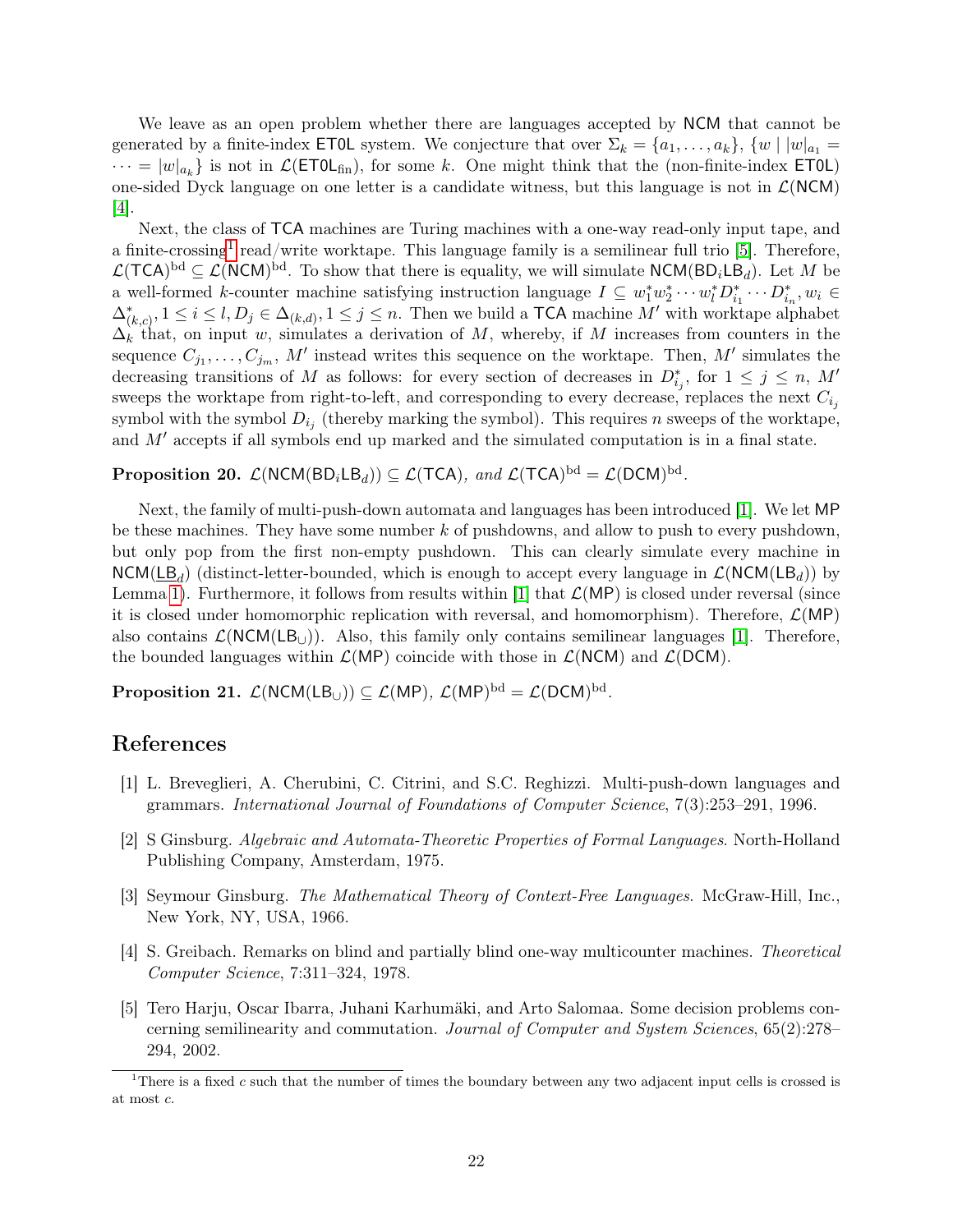We leave as an open problem whether there are languages accepted by NCM that cannot be generated by a finite-index **ET0L** system. We conjecture that over  $\Sigma_k = \{a_1, \ldots, a_k\}, \{w \mid |w|_{a_1} =$  $\cdots = |w|_{a_k}$  is not in  $\mathcal{L}(\text{ETOL}_{\text{fin}})$ , for some k. One might think that the (non-finite-index ETOL) one-sided Dyck language on one letter is a candidate witness, but this language is not in  $\mathcal{L}(NCM)$ [\[4\]](#page-22-2).

Next, the class of TCA machines are Turing machines with a one-way read-only input tape, and a finite-crossing<sup>[1](#page-22-5)</sup> read/write worktape. This language family is a semilinear full trio [\[5\]](#page-22-3). Therefore,  $\mathcal{L}(\mathsf{TCA})^{\rm bd} \subseteq \mathcal{L}(\mathsf{NCM})^{\rm bd}$ . To show that there is equality, we will simulate  $\mathsf{NCM}(\mathsf{BD}_i\mathsf{LB}_d)$ . Let M be a well-formed k-counter machine satisfying instruction language  $I \subseteq w_1^* w_2^* \cdots w_l^* D_{i_1}^* \cdots D_{i_n}^*, w_i \in$  $\Delta_{(k,c)}^*$ ,  $1 \leq i \leq l, D_j \in \Delta_{(k,d)}, 1 \leq j \leq n$ . Then we build a TCA machine M' with worktape alphabet  $\Delta_k$  that, on input w, simulates a derivation of M, whereby, if M increases from counters in the sequence  $C_{j_1}, \ldots, C_{j_m}, M'$  instead writes this sequence on the worktape. Then, M' simulates the decreasing transitions of M as follows: for every section of decreases in  $D_{ij}^*$ , for  $1 \leq j \leq n$ , M' sweeps the worktape from right-to-left, and corresponding to every decrease, replaces the next  $C_{i_j}$ symbol with the symbol  $D_{i_j}$  (thereby marking the symbol). This requires n sweeps of the worktape, and  $M'$  accepts if all symbols end up marked and the simulated computation is in a final state.

**Proposition 20.**  $\mathcal{L}(\text{NCM}(\text{BD}_i \text{LB}_d)) \subseteq \mathcal{L}(\text{TCA})$ , and  $\mathcal{L}(\text{TCA})^{\text{bd}} = \mathcal{L}(\text{DCM})^{\text{bd}}$ .

Next, the family of multi-push-down automata and languages has been introduced [\[1\]](#page-22-0). We let MP be these machines. They have some number  $k$  of pushdowns, and allow to push to every pushdown, but only pop from the first non-empty pushdown. This can clearly simulate every machine in  $NCM(\underline{LB}_d)$  (distinct-letter-bounded, which is enough to accept every language in  $\mathcal{L}(NCM(LB_d))$  by Lemma [1\)](#page-7-3). Furthermore, it follows from results within [\[1\]](#page-22-0) that  $\mathcal{L}(MP)$  is closed under reversal (since it is closed under homomorphic replication with reversal, and homomorphism). Therefore,  $\mathcal{L}(MP)$ also contains  $\mathcal{L}(NCM(LB_{11}))$ . Also, this family only contains semilinear languages [\[1\]](#page-22-0). Therefore, the bounded languages within  $\mathcal{L}(MP)$  coincide with those in  $\mathcal{L}(NCM)$  and  $\mathcal{L}(DCM)$ .

Proposition 21.  $\mathcal{L}(\mathsf{NCM}(\mathsf{LB}_{\cup}))\subseteq \mathcal{L}(\mathsf{MP}),\ \mathcal{L}(\mathsf{MP})^{\mathrm{bd}}=\mathcal{L}(\mathsf{DCM})^{\mathrm{bd}}.$ 

## References

- <span id="page-22-0"></span>[1] L. Breveglieri, A. Cherubini, C. Citrini, and S.C. Reghizzi. Multi-push-down languages and grammars. International Journal of Foundations of Computer Science, 7(3):253–291, 1996.
- <span id="page-22-1"></span>[2] S Ginsburg. Algebraic and Automata-Theoretic Properties of Formal Languages. North-Holland Publishing Company, Amsterdam, 1975.
- <span id="page-22-4"></span>[3] Seymour Ginsburg. The Mathematical Theory of Context-Free Languages. McGraw-Hill, Inc., New York, NY, USA, 1966.
- <span id="page-22-2"></span>[4] S. Greibach. Remarks on blind and partially blind one-way multicounter machines. Theoretical Computer Science, 7:311–324, 1978.
- <span id="page-22-3"></span>[5] Tero Harju, Oscar Ibarra, Juhani Karhumäki, and Arto Salomaa. Some decision problems concerning semilinearity and commutation. Journal of Computer and System Sciences, 65(2):278– 294, 2002.

<span id="page-22-5"></span><sup>&</sup>lt;sup>1</sup>There is a fixed c such that the number of times the boundary between any two adjacent input cells is crossed is at most c.